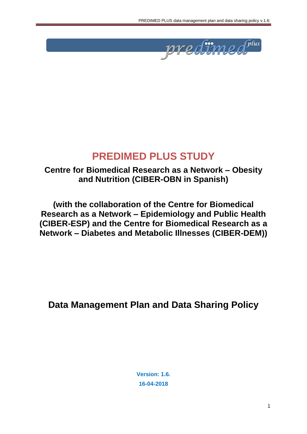

# **PREDIMED PLUS STUDY**

## **Centre for Biomedical Research as a Network – Obesity and Nutrition (CIBER-OBN in Spanish)**

**(with the collaboration of the Centre for Biomedical Research as a Network – Epidemiology and Public Health (CIBER-ESP) and the Centre for Biomedical Research as a Network – Diabetes and Metabolic Illnesses (CIBER-DEM))**

**Data Management Plan and Data Sharing Policy**

**Version: 1.6. 16-04-2018**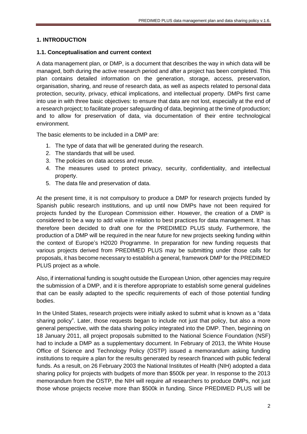#### **1. INTRODUCTION**

#### **1.1. Conceptualisation and current context**

A data management plan, or DMP, is a document that describes the way in which data will be managed, both during the active research period and after a project has been completed. This plan contains detailed information on the generation, storage, access, preservation, organisation, sharing, and reuse of research data, as well as aspects related to personal data protection, security, privacy, ethical implications, and intellectual property. DMPs first came into use in with three basic objectives: to ensure that data are not lost, especially at the end of a research project; to facilitate proper safeguarding of data, beginning at the time of production; and to allow for preservation of data, via documentation of their entire technological environment.

The basic elements to be included in a DMP are:

- 1. The type of data that will be generated during the research.
- 2. The standards that will be used.
- 3. The policies on data access and reuse.
- 4. The measures used to protect privacy, security, confidentiality, and intellectual property.
- 5. The data file and preservation of data.

At the present time, it is not compulsory to produce a DMP for research projects funded by Spanish public research institutions, and up until now DMPs have not been required for projects funded by the European Commission either. However, the creation of a DMP is considered to be a way to add value in relation to best practices for data management. It has therefore been decided to draft one for the PREDIMED PLUS study. Furthermore, the production of a DMP will be required in the near future for new projects seeking funding within the context of Europe's H2020 Programme. In preparation for new funding requests that various projects derived from PREDIMED PLUS may be submitting under those calls for proposals, it has become necessary to establish a general, framework DMP for the PREDIMED PLUS project as a whole.

Also, if international funding is sought outside the European Union, other agencies may require the submission of a DMP, and it is therefore appropriate to establish some general guidelines that can be easily adapted to the specific requirements of each of those potential funding bodies.

In the United States, research projects were initially asked to submit what is known as a "data sharing policy". Later, those requests began to include not just that policy, but also a more general perspective, with the data sharing policy integrated into the DMP. Then, beginning on 18 January 2011, all project proposals submitted to the National Science Foundation (NSF) had to include a DMP as a supplementary document. In February of 2013, the White House Office of Science and Technology Policy (OSTP) issued a memorandum asking funding institutions to require a plan for the results generated by research financed with public federal funds. As a result, on 26 February 2003 the National Institutes of Health (NIH) adopted a data sharing policy for projects with budgets of more than \$500k per year. In response to the 2013 memorandum from the OSTP, the NIH will require *all* researchers to produce DMPs, not just those whose projects receive more than \$500k in funding. Since PREDIMED PLUS will be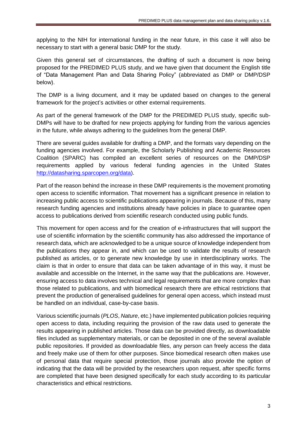applying to the NIH for international funding in the near future, in this case it will also be necessary to start with a general basic DMP for the study.

Given this general set of circumstances, the drafting of such a document is now being proposed for the PREDIMED PLUS study, and we have given that document the English title of "Data Management Plan and Data Sharing Policy" (abbreviated as DMP or DMP/DSP below).

The DMP is a living document, and it may be updated based on changes to the general framework for the project's activities or other external requirements.

As part of the general framework of the DMP for the PREDIMED PLUS study, specific sub-DMPs will have to be drafted for new projects applying for funding from the various agencies in the future, while always adhering to the guidelines from the general DMP.

There are several guides available for drafting a DMP, and the formats vary depending on the funding agencies involved. For example, the Scholarly Publishing and Academic Resources Coalition (SPARC) has compiled an excellent series of resources on the DMP/DSP requirements applied by various federal funding agencies in the United States [http://datasharing.sparcopen.org/data\)](http://datasharing.sparcopen.org/data).

Part of the reason behind the increase in these DMP requirements is the movement promoting open access to scientific information. That movement has a significant presence in relation to increasing public access to scientific publications appearing in journals. Because of this, many research funding agencies and institutions already have policies in place to guarantee open access to publications derived from scientific research conducted using public funds.

This movement for open access and for the creation of e-infrastructures that will support the use of scientific information by the scientific community has also addressed the importance of research data, which are acknowledged to be a unique source of knowledge independent from the publications they appear in, and which can be used to validate the results of research published as articles, or to generate new knowledge by use in interdisciplinary works. The claim is that in order to ensure that data can be taken advantage of in this way, it must be available and accessible on the Internet, in the same way that the publications are. However, ensuring access to data involves technical and legal requirements that are more complex than those related to publications, and with biomedical research there are ethical restrictions that prevent the production of generalised guidelines for general open access, which instead must be handled on an individual, case-by-case basis.

Various scientific journals (*PLOS*, *Nature*, etc.) have implemented publication policies requiring open access to data, including requiring the provision of the raw data used to generate the results appearing in published articles. Those data can be provided directly, as downloadable files included as supplementary materials, or can be deposited in one of the several available public repositories. If provided as downloadable files, any person can freely access the data and freely make use of them for other purposes. Since biomedical research often makes use of personal data that require special protection, those journals also provide the option of indicating that the data will be provided by the researchers upon request, after specific forms are completed that have been designed specifically for each study according to its particular characteristics and ethical restrictions.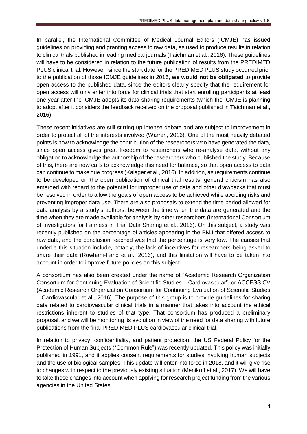In parallel, the International Committee of Medical Journal Editors (ICMJE) has issued guidelines on providing and granting access to raw data, as used to produce results in relation to clinical trials published in leading medical journals (Taichman et al., 2016). These guidelines will have to be considered in relation to the future publication of results from the PREDIMED PLUS clinical trial. However, since the start date for the PREDIMED PLUS study occurred prior to the publication of those ICMJE guidelines in 2016, **we would not be obligated** to provide open access to the published data, since the editors clearly specify that the requirement for open access will only enter into force for clinical trials that start enrolling participants at least one year after the ICMJE adopts its data-sharing requirements (which the ICMJE is planning to adopt after it considers the feedback received on the proposal published in Taichman et al., 2016).

These recent initiatives are still stirring up intense debate and are subject to improvement in order to protect all of the interests involved (Warren, 2016). One of the most heavily debated points is how to acknowledge the contribution of the researchers who have generated the data, since open access gives great freedom to researchers who re-analyse data, without any obligation to acknowledge the authorship of the researchers who published the study. Because of this, there are now calls to acknowledge this need for balance, so that open access to data can continue to make due progress (Kalager et al., 2016). In addition, as requirements continue to be developed on the open publication of clinical trial results, general criticism has also emerged with regard to the potential for improper use of data and other drawbacks that must be resolved in order to allow the goals of open access to be achieved while avoiding risks and preventing improper data use. There are also proposals to extend the time period allowed for data analysis by a study's authors, between the time when the data are generated and the time when they are made available for analysis by other researchers (International Consortium of Investigators for Fairness in Trial Data Sharing et al., 2016). On this subject, a study was recently published on the percentage of articles appearing in the BMJ that offered access to raw data, and the conclusion reached was that the percentage is very low. The causes that underlie this situation include, notably, the lack of incentives for researchers being asked to share their data (Rowhani-Farid et al., 2016), and this limitation will have to be taken into account in order to improve future policies on this subject.

A consortium has also been created under the name of "Academic Research Organization Consortium for Continuing Evaluation of Scientific Studies – Cardiovascular", or ACCESS CV (Academic Research Organization Consortium for Continuing Evaluation of Scientific Studies – Cardiovascular et al., 2016). The purpose of this group is to provide guidelines for sharing data related to cardiovascular clinical trials in a manner that takes into account the ethical restrictions inherent to studies of that type. That consortium has produced a preliminary proposal, and we will be monitoring its evolution in view of the need for data sharing with future publications from the final PREDIMED PLUS cardiovascular clinical trial.

In relation to privacy, confidentiality, and patient protection, the US Federal Policy for the Protection of Human Subjects ("Common Rule") was recently updated. This policy was initially published in 1991, and it applies consent requirements for studies involving human subjects and the use of biological samples. This update will enter into force in 2018, and it will give rise to changes with respect to the previously existing situation (Menikoff et al., 2017). We will have to take these changes into account when applying for research project funding from the various agencies in the United States.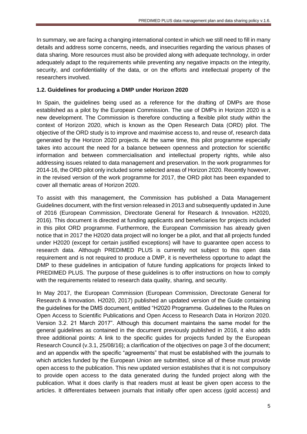In summary, we are facing a changing international context in which we still need to fill in many details and address some concerns, needs, and insecurities regarding the various phases of data sharing. More resources must also be provided along with adequate technology, in order adequately adapt to the requirements while preventing any negative impacts on the integrity, security, and confidentiality of the data, or on the efforts and intellectual property of the researchers involved.

#### **1.2. Guidelines for producing a DMP under Horizon 2020**

In Spain, the guidelines being used as a reference for the drafting of DMPs are those established as a pilot by the European Commission. The use of DMPs in Horizon 2020 is a new development. The Commission is therefore conducting a flexible pilot study within the context of Horizon 2020, which is known as the Open Research Data (ORD) pilot. The objective of the ORD study is to improve and maximise access to, and reuse of, research data generated by the Horizon 2020 projects. At the same time, this pilot programme especially takes into account the need for a balance between openness and protection for scientific information and between commercialisation and intellectual property rights, while also addressing issues related to data management and preservation. In the work programmes for 2014-16, the ORD pilot only included some selected areas of Horizon 2020. Recently however, in the revised version of the work programme for 2017, the ORD pilot has been expanded to cover all thematic areas of Horizon 2020.

To assist with this management, the Commission has published a Data Management Guidelines document, with the first version released in 2013 and subsequently updated in June of 2016 (European Commission, Directorate General for Research & Innovation. H2020, 2016). This document is directed at funding applicants and beneficiaries for projects included in this pilot ORD programme. Furthermore, the European Commission has already given notice that in 2017 the H2020 data project will no longer be a pilot, and that all projects funded under H2020 (except for certain justified exceptions) will have to guarantee open access to research data. Although PREDIMED PLUS is currently not subject to this open data requirement and is not required to produce a DMP, it is nevertheless opportune to adapt the DMP to these guidelines in anticipation of future funding applications for projects linked to PREDIMED PLUS. The purpose of these guidelines is to offer instructions on how to comply with the requirements related to research data quality, sharing, and security.

In May 2017, the European Commission (European Commission, Directorate General for Research & Innovation. H2020, 2017) published an updated version of the Guide containing the guidelines for the DMS document, entitled "H2020 Programme. Guidelines to the Rules on Open Access to Scientific Publications and Open Access to Research Data in Horizon 2020. Version 3.2. 21 March 2017". Although this document maintains the same model for the general guidelines as contained in the document previously published in 2016, it also adds three additional points: A link to the specific guides for projects funded by the European Research Council (v.3.1, 25/08/16); a clarification of the objectives on page 3 of the document; and an appendix with the specific "agreements" that must be established with the journals to which articles funded by the European Union are submitted, since all of these must provide open access to the publication. This new updated version establishes that it is not compulsory to provide open access to the data generated during the funded project along with the publication. What it does clarify is that readers must at least be given open access to the articles. It differentiates between journals that initially offer open access (gold access) and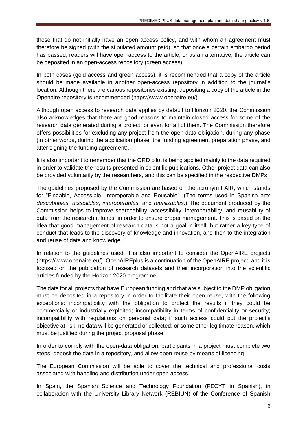those that do not initially have an open access policy, and with whom an agreement must therefore be signed (with the stipulated amount paid), so that once a certain embargo period has passed, readers will have open access to the article, or as an alternative, the article can be deposited in an open-access repository (green access).

In both cases (gold access and green access), it is recommended that a copy of the article should be made available in another open-access repository in addition to the journal's location. Although there are various repositories existing, depositing a copy of the article in the Openaire repository is recommended (https://www.openaire.eu/).

Although open access to research data applies by default to Horizon 2020, the Commission also acknowledges that there are good reasons to maintain closed access for some of the research data generated during a project, or even for all of them. The Commission therefore offers possibilities for excluding any project from the open data obligation, during any phase (in other words, during the application phase, the funding agreement preparation phase, and after signing the funding agreement).

It is also important to remember that the ORD pilot is being applied mainly to the data required in order to validate the results presented in scientific publications. Other project data can also be provided voluntarily by the researchers, and this can be specified in the respective DMPs.

The guidelines proposed by the Commission are based on the acronym FAIR, which stands for "Findable, Accessible, Interoperable and Reusable". (The terms used in Spanish are: *descubribles*, *accesibles*, *interoperables*, and *reutilizables*.) The document produced by the Commission helps to improve searchability, accessibility, interoperability, and reusability of data from the research it funds, in order to ensure proper management. This is based on the idea that good management of research data is not a goal in itself, but rather a key type of conduct that leads to the discovery of knowledge and innovation, and then to the integration and reuse of data and knowledge.

In relation to the guidelines used, it is also important to consider the OpenAIRE projects (https://www.openaire.eu/). OpenAIREplus is a continuation of the OpenAIRE project, and it is focused on the publication of research datasets and their incorporation into the scientific articles funded by the Horizon 2020 programme.

The data for all projects that have European funding and that are subject to the DMP obligation must be deposited in a repository in order to facilitate their open reuse, with the following exceptions: incompatibility with the obligation to protect the results if they could be commercially or industrially exploited; incompatibility in terms of confidentiality or security; incompatibility with regulations on personal data; if such access could put the project's objective at risk; no data will be generated or collected; or some other legitimate reason, which must be justified during the project proposal phase.

In order to comply with the open-data obligation, participants in a project must complete two steps: deposit the data in a repository, and allow open reuse by means of licencing.

The European Commission will be able to cover the technical and professional costs associated with handling and distribution under open access.

In Spain, the Spanish Science and Technology Foundation (FECYT in Spanish), in collaboration with the University Library Network (REBIUN) of the Conference of Spanish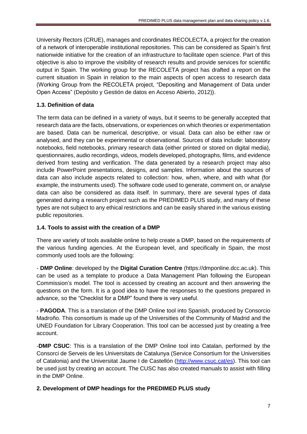University Rectors (CRUE), manages and coordinates RECOLECTA, a project for the creation of a network of interoperable institutional repositories. This can be considered as Spain's first nationwide initiative for the creation of an infrastructure to facilitate open science. Part of this objective is also to improve the visibility of research results and provide services for scientific output in Spain. The working group for the RECOLETA project has drafted a report on the current situation in Spain in relation to the main aspects of open access to research data (Working Group from the RECOLETA project, "Depositing and Management of Data under Open Access" (Depósito y Gestión de datos en Acceso Abierto, 2012)).

## **1.3. Definition of data**

The term data can be defined in a variety of ways, but it seems to be generally accepted that research data are the facts, observations, or experiences on which theories or experimentation are based. Data can be numerical, descriptive, or visual. Data can also be either raw or analysed, and they can be experimental or observational. Sources of data include: laboratory notebooks, field notebooks, primary research data (either printed or stored on digital media), questionnaires, audio recordings, videos, models developed, photographs, films, and evidence derived from testing and verification. The data generated by a research project may also include PowerPoint presentations, designs, and samples. Information about the sources of data can also include aspects related to collection: how, when, where, and with what (for example, the instruments used). The software code used to generate, comment on, or analyse data can also be considered as data itself. In summary, there are several types of data generated during a research project such as the PREDIMED PLUS study, and many of these types are not subject to any ethical restrictions and can be easily shared in the various existing public repositories.

## **1.4. Tools to assist with the creation of a DMP**

There are variety of tools available online to help create a DMP, based on the requirements of the various funding agencies. At the European level, and specifically in Spain, the most commonly used tools are the following:

- **DMP Online**: developed by the **Digital Curation Centre** (https://dmponline.dcc.ac.uk). This can be used as a template to produce a Data Management Plan following the European Commission's model. The tool is accessed by creating an account and then answering the questions on the form. It is a good idea to have the responses to the questions prepared in advance, so the "Checklist for a DMP" found there is very useful.

- **PAGODA**. This is a translation of the DMP Online tool into Spanish, produced by Consorcio Madroño. This consortium is made up of the Universities of the Community of Madrid and the UNED Foundation for Library Cooperation. This tool can be accessed just by creating a free account.

-**DMP CSUC**: This is a translation of the DMP Online tool into Catalan, performed by the Consorci de Serveis de les Universitats de Catalunya (Service Consortium for the Universities of Catalonia) and the Universitat Jaume I de Castellón [\(http://www.csuc.cat/es\)](http://www.csuc.cat/es). This tool can be used just by creating an account. The CUSC has also created manuals to assist with filling in the DMP Online.

## **2. Development of DMP headings for the PREDIMED PLUS study**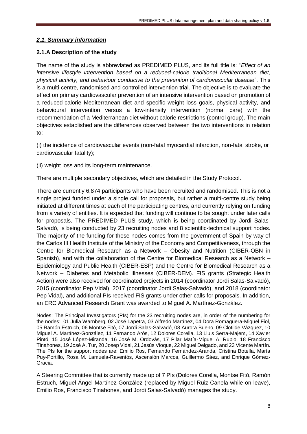#### *2.1. Summary information*

#### **2.1.A Description of the study**

The name of the study is abbreviated as PREDIMED PLUS, and its full title is: "*Effect of an intensive lifestyle intervention based on a reduced-calorie traditional Mediterranean diet, physical activity, and behaviour conducive to the prevention of cardiovascular disease*". This is a multi-centre, randomised and controlled intervention trial. The objective is to evaluate the effect on primary cardiovascular prevention of an intensive intervention based on promotion of a reduced-calorie Mediterranean diet and specific weight loss goals, physical activity, and behavioural intervention versus a low-intensity intervention (normal care) with the recommendation of a Mediterranean diet without calorie restrictions (control group). The main objectives established are the differences observed between the two interventions in relation to:

(i) the incidence of cardiovascular events (non-fatal myocardial infarction, non-fatal stroke, or cardiovascular fatality);

(ii) weight loss and its long-term maintenance.

There are multiple secondary objectives, which are detailed in the Study Protocol.

There are currently 6,874 participants who have been recruited and randomised. This is not a single project funded under a single call for proposals, but rather a multi-centre study being initiated at different times at each of the participating centres, and currently relying on funding from a variety of entities. It is expected that funding will continue to be sought under later calls for proposals. The PREDIMED PLUS study, which is being coordinated by Jordi Salas-Salvadó, is being conducted by 23 recruiting nodes and 8 scientific-technical support nodes. The majority of the funding for these nodes comes from the government of Spain by way of the Carlos III Health Institute of the Ministry of the Economy and Competitiveness, through the Centre for Biomedical Research as a Network – Obesity and Nutrition (CIBER-OBN in Spanish), and with the collaboration of the Centre for Biomedical Research as a Network – Epidemiology and Public Health (CIBER-ESP) and the Centre for Biomedical Research as a Network – Diabetes and Metabolic Illnesses (CIBER-DEM). FIS grants (Strategic Health Action) were also received for coordinated projects in 2014 (coordinator Jordi Salas-Salvadó), 2015 (coordinator Pep Vidal), 2017 (coordinator Jordi Salas-Salvadó), and 2018 (coordinator Pep Vidal), and additional PIs received FIS grants under other calls for proposals. In addition, an ERC Advanced Research Grant was awarded to Miguel A. Martínez-González.

Nodes: The Principal Investigators (PIs) for the 23 recruiting nodes are, in order of the numbering for the nodes: 01 Julia Warnberg, 02 José Lapetra, 03 Alfredo Martínez, 04 Dora Romaguera-Miquel Fiol, 05 Ramón Estruch, 06 Montse Fitó, 07 Jordi Salas-Salvadó, 08 Aurora Bueno, 09 Clotilde Vázquez, 10 Miguel A. Martínez-González, 11 Fernando Arós, 12 Dolores Corella, 13 Lluis Serra-Majem, 14 Xavier Pintó, 15 José López-Miranda, 16 José M. Ordovás, 17 Pilar Matía-Miguel A. Rubio, 18 Francisco Tinahones, 19 José A. Tur, 20 Josep Vidal, 21 Jesús Vioque, 22 Miguel Delgado, and 23 Vicente Martín. The PIs for the support nodes are: Emilio Ros, Fernando Fernández-Aranda, Cristina Botella, María Puy-Portillo, Rosa M. Lamuela-Raventós, Ascensión Marcos, Guillermo Sáez, and Enrique Gómez-Gracia.

A Steering Committee that is currently made up of 7 PIs (Dolores Corella, Montse Fitó, Ramón Estruch, Miguel Ángel Martínez-González (replaced by Miguel Ruiz Canela while on leave), Emilio Ros, Francisco Tinahones, and Jordi Salas-Salvadó) manages the study.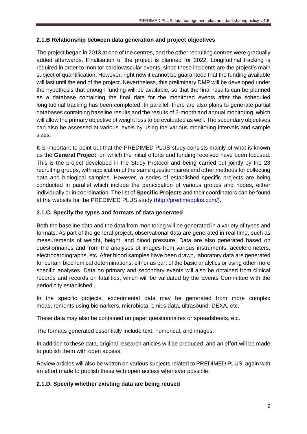#### **2.1.B Relationship between data generation and project objectives**

The project began in 2013 at one of the centres, and the other recruiting centres were gradually added afterwards. Finalisation of the project is planned for 2022. Longitudinal tracking is required in order to monitor cardiovascular events, since these incidents are the project's main subject of quantification. However, right now it cannot be guaranteed that the funding available will last until the end of the project. Nevertheless, this preliminary DMP will be developed under the hypothesis that enough funding will be available, so that the final results can be planned as a database containing the final data for the monitored events after the scheduled longitudinal tracking has been completed. In parallel, there are also plans to generate partial databases containing baseline results and the results of 6-month and annual monitoring, which will allow the primary objective of weight loss to be evaluated as well. The secondary objectives can also be assessed at various levels by using the various monitoring intervals and sample sizes.

It is important to point out that the PREDIMED PLUS study consists mainly of what is known as the **General Project**, on which the initial efforts and funding received have been focused. This is the project developed in the Study Protocol and being carried out jointly by the 23 recruiting groups, with application of the same questionnaires and other methods for collecting data and biological samples. However, a series of established specific projects are being conducted in parallel which include the participation of various groups and nodes, either individually or in coordination. The list of **Specific Projects** and their coordinators can be found at the website for the PREDIMED PLUS study [\(http://predimedplus.com/\)](http://predimedplus.com/).

#### **2.1.C. Specify the types and formats of data generated**

Both the baseline data and the data from monitoring will be generated in a variety of types and formats. As part of the general project, observational data are generated in real time, such as measurements of weight, height, and blood pressure. Data are also generated based on questionnaires and from the analyses of images from various instruments, accelerometers, electrocardiographs, etc. After blood samples have been drawn, laboratory data are generated for certain biochemical determinations, either as part of the basic analytics or using other more specific analyses. Data on primary and secondary events will also be obtained from clinical records and records on fatalities, which will be validated by the Events Committee with the periodicity established.

In the specific projects, experimental data may be generated from more complex measurements using biomarkers, microbiota, omics data, ultrasound, DEXA, etc.

These data may also be contained on paper questionnaires or spreadsheets, etc.

The formats generated essentially include text, numerical, and images.

In addition to these data, original research articles will be produced, and an effort will be made to publish them with open access.

Review articles will also be written on various subjects related to PREDIMED PLUS, again with an effort made to publish these with open access whenever possible.

## **2.1.D. Specify whether existing data are being reused**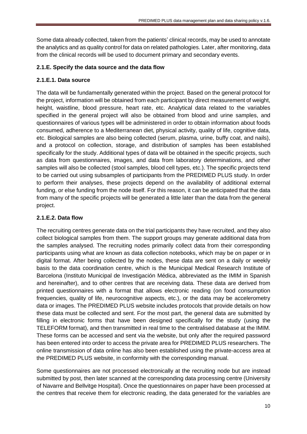Some data already collected, taken from the patients' clinical records, may be used to annotate the analytics and as quality control for data on related pathologies. Later, after monitoring, data from the clinical records will be used to document primary and secondary events.

#### **2.1.E. Specify the data source and the data flow**

## **2.1.E.1. Data source**

The data will be fundamentally generated within the project. Based on the general protocol for the project, information will be obtained from each participant by direct measurement of weight, height, waistline, blood pressure, heart rate, etc. Analytical data related to the variables specified in the general project will also be obtained from blood and urine samples, and questionnaires of various types will be administered in order to obtain information about foods consumed, adherence to a Mediterranean diet, physical activity, quality of life, cognitive data, etc. Biological samples are also being collected (serum, plasma, urine, buffy coat, and nails), and a protocol on collection, storage, and distribution of samples has been established specifically for the study. Additional types of data will be obtained in the specific projects, such as data from questionnaires, images, and data from laboratory determinations, and other samples will also be collected (stool samples, blood cell types, etc.). The specific projects tend to be carried out using subsamples of participants from the PREDIMED PLUS study. In order to perform their analyses, these projects depend on the availability of additional external funding, or else funding from the node itself. For this reason, it can be anticipated that the data from many of the specific projects will be generated a little later than the data from the general project.

## **2.1.E.2. Data flow**

The recruiting centres generate data on the trial participants they have recruited, and they also collect biological samples from them. The support groups may generate additional data from the samples analysed. The recruiting nodes primarily collect data from their corresponding participants using what are known as data collection notebooks, which may be on paper or in digital format. After being collected by the nodes, these data are sent on a daily or weekly basis to the data coordination centre, which is the Municipal Medical Research Institute of Barcelona (Instituto Municipal de Investigación Médica, abbreviated as the IMIM in Spanish and hereinafter), and to other centres that are receiving data. These data are derived from printed questionnaires with a format that allows electronic reading (on food consumption frequencies, quality of life, neurocognitive aspects, etc.), or the data may be accelerometry data or images. The PREDIMED PLUS website includes protocols that provide details on how these data must be collected and sent. For the most part, the general data are submitted by filling in electronic forms that have been designed specifically for the study (using the TELEFORM format), and then transmitted in real time to the centralised database at the IMIM. These forms can be accessed and sent via the website, but only after the required password has been entered into order to access the private area for PREDIMED PLUS researchers. The online transmission of data online has also been established using the private-access area at the PREDIMED PLUS website, in conformity with the corresponding manual.

Some questionnaires are not processed electronically at the recruiting node but are instead submitted by post, then later scanned at the corresponding data processing centre (University of Navarre and Bellvitge Hospital). Once the questionnaires on paper have been processed at the centres that receive them for electronic reading, the data generated for the variables are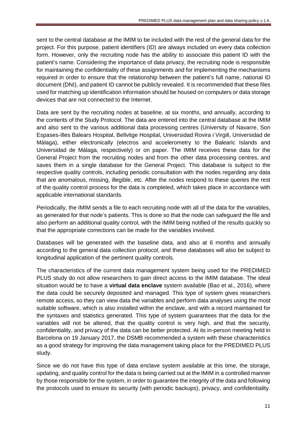sent to the central database at the IMIM to be included with the rest of the general data for the project. For this purpose, patient identifiers (ID) are always included on every data collection form. However, only the recruiting node has the ability to associate this patient ID with the patient's name. Considering the importance of data privacy, the recruiting node is responsible for maintaining the confidentiality of these assignments and for implementing the mechanisms required in order to ensure that the relationship between the patient's full name, national ID document (DNI), and patient ID cannot be publicly revealed. It is recommended that these files used for matching up identification information should be housed on computers or data storage devices that are not connected to the Internet.

Data are sent by the recruiting nodes at baseline, at six months, and annually, according to the contents of the Study Protocol. The data are entered into the central database at the IMIM and also sent to the various additional data processing centres (University of Navarre, Son Espases-Illes Balears Hospital, Bellvitge Hospital, Universidad Rovira i Virgili, Universidad de Málaga), either electronically (electros and accelerometry to the Balearic Islands and Universidad de Málaga, respectively) or on paper. The IMIM receives these data for the General Project from the recruiting nodes and from the other data processing centres, and saves them in a single database for the General Project. This database is subject to the respective quality controls, including periodic consultation with the nodes regarding any data that are anomalous, missing, illegible, etc. After the nodes respond to these queries the rest of the quality control process for the data is completed, which takes place in accordance with applicable international standards.

Periodically, the IMIM sends a file to each recruiting node with all of the data for the variables, as generated for that node's patients. This is done so that the node can safeguard the file and also perform an additional quality control, with the IMIM being notified of the results quickly so that the appropriate corrections can be made for the variables involved.

Databases will be generated with the baseline data, and also at 6 months and annually according to the general data collection protocol, and these databases will also be subject to longitudinal application of the pertinent quality controls.

The characteristics of the current data management system being used for the PREDIMED PLUS study do not allow researchers to gain direct access to the IMIM database. The ideal situation would be to have a **virtual data enclave** system available (Bao et al., 2016), where the data could be securely deposited and managed. This type of system gives researchers remote access, so they can view data the variables and perform data analyses using the most suitable software, which is also installed within the enclave, and with a record maintained for the syntaxes and statistics generated. This type of system guarantees that the data for the variables will not be altered, that the quality control is very high, and that the security, confidentiality, and privacy of the data can be better protected. At its in-person meeting held in Barcelona on 19 January 2017, the DSMB recommended a system with these characteristics as a good strategy for improving the data management taking place for the PREDIMED PLUS study.

Since we do not have this type of data enclave system available at this time, the storage, updating, and quality control for the data is being carried out at the IMIM in a controlled manner by those responsible for the system, in order to guarantee the integrity of the data and following the protocols used to ensure its security (with periodic backups), privacy, and confidentiality.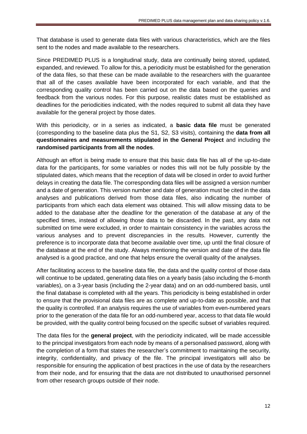That database is used to generate data files with various characteristics, which are the files sent to the nodes and made available to the researchers.

Since PREDIMED PLUS is a longitudinal study, data are continually being stored, updated, expanded, and reviewed. To allow for this, a periodicity must be established for the generation of the data files, so that these can be made available to the researchers with the guarantee that all of the cases available have been incorporated for each variable, and that the corresponding quality control has been carried out on the data based on the queries and feedback from the various nodes. For this purpose, realistic dates must be established as deadlines for the periodicities indicated, with the nodes required to submit all data they have available for the general project by those dates.

With this periodicity, or in a series as indicated, a **basic data file** must be generated (corresponding to the baseline data plus the S1, S2, S3 visits), containing the **data from all questionnaires and measurements stipulated in the General Project** and including the **randomised participants from all the nodes**.

Although an effort is being made to ensure that this basic data file has all of the up-to-date data for the participants, for some variables or nodes this will not be fully possible by the stipulated dates, which means that the reception of data will be closed in order to avoid further delays in creating the data file. The corresponding data files will be assigned a version number and a date of generation. This version number and date of generation must be cited in the data analyses and publications derived from those data files, also indicating the number of participants from which each data element was obtained. This will allow missing data to be added to the database after the deadline for the generation of the database at any of the specified times, instead of allowing those data to be discarded. In the past, any data not submitted on time were excluded, in order to maintain consistency in the variables across the various analyses and to prevent discrepancies in the results. However, currently the preference is to incorporate data that become available over time, up until the final closure of the database at the end of the study. Always mentioning the version and date of the data file analysed is a good practice, and one that helps ensure the overall quality of the analyses.

After facilitating access to the baseline data file, the data and the quality control of those data will continue to be updated, generating data files on a yearly basis (also including the 6-month variables), on a 3-year basis (including the 2-year data) and on an odd-numbered basis, until the final database is completed with all the years. This periodicity is being established in order to ensure that the provisional data files are as complete and up-to-date as possible, and that the quality is controlled. If an analysis requires the use of variables from even-numbered years prior to the generation of the data file for an odd-numbered year, access to that data file would be provided, with the quality control being focused on the specific subset of variables required.

The data files for the **general project**, with the periodicity indicated, will be made accessible to the principal investigators from each node by means of a personalised password, along with the completion of a form that states the researcher's commitment to maintaining the security, integrity, confidentiality, and privacy of the file. The principal investigators will also be responsible for ensuring the application of best practices in the use of data by the researchers from their node, and for ensuring that the data are not distributed to unauthorised personnel from other research groups outside of their node.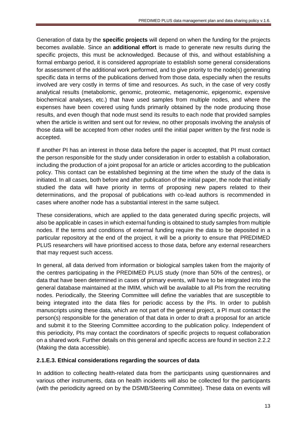Generation of data by the **specific projects** will depend on when the funding for the projects becomes available. Since an **additional effort** is made to generate new results during the specific projects, this must be acknowledged. Because of this, and without establishing a formal embargo period, it is considered appropriate to establish some general considerations for assessment of the additional work performed, and to give priority to the node(s) generating specific data in terms of the publications derived from those data, especially when the results involved are very costly in terms of time and resources. As such, in the case of very costly analytical results (metabolomic, genomic, proteomic, metagenomic, epigenomic, expensive biochemical analyses, etc.) that have used samples from multiple nodes, and where the expenses have been covered using funds primarily obtained by the node producing those results, and even though that node must send its results to each node that provided samples when the article is written and sent out for review, no other proposals involving the analysis of those data will be accepted from other nodes until the initial paper written by the first node is accepted.

If another PI has an interest in those data before the paper is accepted, that PI must contact the person responsible for the study under consideration in order to establish a collaboration, including the production of a joint proposal for an article or articles according to the publication policy. This contact can be established beginning at the time when the study of the data is initiated. In all cases, both before and after publication of the initial paper, the node that initially studied the data will have priority in terms of proposing new papers related to their determinations, and the proposal of publications with co-lead authors is recommended in cases where another node has a substantial interest in the same subject.

These considerations, which are applied to the data generated during specific projects, will also be applicable in cases in which external funding is obtained to study samples from multiple nodes. If the terms and conditions of external funding require the data to be deposited in a particular repository at the end of the project, it will be a priority to ensure that PREDIMED PLUS researchers will have prioritised access to those data, before any external researchers that may request such access.

In general, all data derived from information or biological samples taken from the majority of the centres participating in the PREDIMED PLUS study (more than 50% of the centres), or data that have been determined in cases of primary events, will have to be integrated into the general database maintained at the IMIM, which will be available to all PIs from the recruiting nodes. Periodically, the Steering Committee will define the variables that are susceptible to being integrated into the data files for periodic access by the PIs. In order to publish manuscripts using these data, which are not part of the general project, a PI must contact the person(s) responsible for the generation of that data in order to draft a proposal for an article and submit it to the Steering Committee according to the publication policy. Independent of this periodicity, PIs may contact the coordinators of specific projects to request collaboration on a shared work. Further details on this general and specific access are found in section 2.2.2 (Making the data accessible).

#### **2.1.E.3. Ethical considerations regarding the sources of data**

In addition to collecting health-related data from the participants using questionnaires and various other instruments, data on health incidents will also be collected for the participants (with the periodicity agreed on by the DSMB/Steering Committee). These data on events will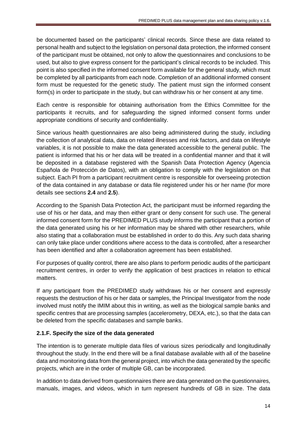be documented based on the participants' clinical records. Since these are data related to personal health and subject to the legislation on personal data protection, the informed consent of the participant must be obtained, not only to allow the questionnaires and conclusions to be used, but also to give express consent for the participant's clinical records to be included. This point is also specified in the informed consent form available for the general study, which must be completed by all participants from each node. Completion of an additional informed consent form must be requested for the genetic study. The patient must sign the informed consent form(s) in order to participate in the study, but can withdraw his or her consent at any time.

Each centre is responsible for obtaining authorisation from the Ethics Committee for the participants it recruits, and for safeguarding the signed informed consent forms under appropriate conditions of security and confidentiality.

Since various health questionnaires are also being administered during the study, including the collection of analytical data, data on related illnesses and risk factors, and data on lifestyle variables, it is not possible to make the data generated accessible to the general public. The patient is informed that his or her data will be treated in a confidential manner and that it will be deposited in a database registered with the Spanish Data Protection Agency (Agencia Española de Protección de Datos), with an obligation to comply with the legislation on that subject. Each PI from a participant recruitment centre is responsible for overseeing protection of the data contained in any database or data file registered under his or her name (for more details see sections **2.4** and **2.5**).

According to the Spanish Data Protection Act, the participant must be informed regarding the use of his or her data, and may then either grant or deny consent for such use. The general informed consent form for the PREDIMED PLUS study informs the participant that a portion of the data generated using his or her information may be shared with other researchers, while also stating that a collaboration must be established in order to do this. Any such data sharing can only take place under conditions where access to the data is controlled, after a researcher has been identified and after a collaboration agreement has been established.

For purposes of quality control, there are also plans to perform periodic audits of the participant recruitment centres, in order to verify the application of best practices in relation to ethical matters.

If any participant from the PREDIMED study withdraws his or her consent and expressly requests the destruction of his or her data or samples, the Principal Investigator from the node involved must notify the IMIM about this in writing, as well as the biological sample banks and specific centres that are processing samples (accelerometry, DEXA, etc.), so that the data can be deleted from the specific databases and sample banks.

## **2.1.F. Specify the size of the data generated**

The intention is to generate multiple data files of various sizes periodically and longitudinally throughout the study. In the end there will be a final database available with all of the baseline data and monitoring data from the general project, into which the data generated by the specific projects, which are in the order of multiple GB, can be incorporated.

In addition to data derived from questionnaires there are data generated on the questionnaires, manuals, images, and videos, which in turn represent hundreds of GB in size. The data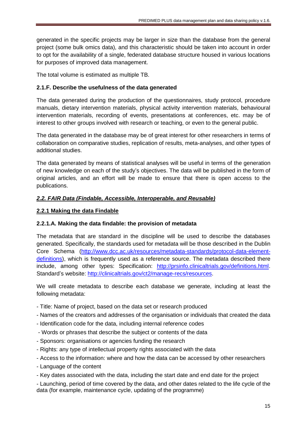generated in the specific projects may be larger in size than the database from the general project (some bulk omics data), and this characteristic should be taken into account in order to opt for the availability of a single, federated database structure housed in various locations for purposes of improved data management.

The total volume is estimated as multiple TB.

#### **2.1.F. Describe the usefulness of the data generated**

The data generated during the production of the questionnaires, study protocol, procedure manuals, dietary intervention materials, physical activity intervention materials, behavioural intervention materials, recording of events, presentations at conferences, etc. may be of interest to other groups involved with research or teaching, or even to the general public.

The data generated in the database may be of great interest for other researchers in terms of collaboration on comparative studies, replication of results, meta-analyses, and other types of additional studies.

The data generated by means of statistical analyses will be useful in terms of the generation of new knowledge on each of the study's objectives. The data will be published in the form of original articles, and an effort will be made to ensure that there is open access to the publications.

#### *2.2. FAIR Data (Findable, Accessible, Interoperable, and Reusable)*

#### **2.2.1 Making the data Findable**

#### **2.2.1.A. Making the data findable: the provision of metadata**

The metadata that are standard in the discipline will be used to describe the databases generated. Specifically, the standards used for metadata will be those described in the Dublin Core Schema [\(http://www.dcc.ac.uk/resources/metadata-standards/protocol-data-element](http://www.dcc.ac.uk/resources/metadata-standards/protocol-data-element-definitions)[definitions\)](http://www.dcc.ac.uk/resources/metadata-standards/protocol-data-element-definitions), which is frequently used as a reference source. The metadata described there include, among other types: Specification: [http://prsinfo.clinicaltrials.gov/definitions.html.](http://prsinfo.clinicaltrials.gov/definitions.html) Standard's website: [http://clinicaltrials.gov/ct2/manage-recs/resources.](http://clinicaltrials.gov/ct2/manage-recs/resources)

We will create metadata to describe each database we generate, including at least the following metadata:

- Title: Name of project, based on the data set or research produced
- Names of the creators and addresses of the organisation or individuals that created the data
- Identification code for the data, including internal reference codes
- Words or phrases that describe the subject or contents of the data
- Sponsors: organisations or agencies funding the research
- Rights: any type of intellectual property rights associated with the data
- Access to the information: where and how the data can be accessed by other researchers
- Language of the content
- Key dates associated with the data, including the start date and end date for the project

- Launching, period of time covered by the data, and other dates related to the life cycle of the data (for example, maintenance cycle, updating of the programme)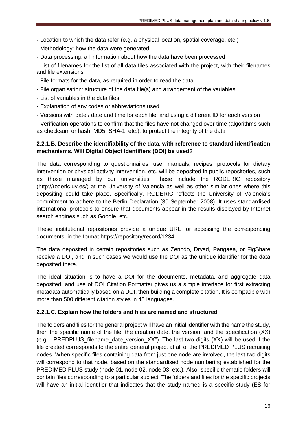- Location to which the data refer (e.g. a physical location, spatial coverage, etc.)

- Methodology: how the data were generated

- Data processing: all information about how the data have been processed

- List of filenames for the list of all data files associated with the project, with their filenames and file extensions

- File formats for the data, as required in order to read the data

- File organisation: structure of the data file(s) and arrangement of the variables

- List of variables in the data files
- Explanation of any codes or abbreviations used
- Versions with date / date and time for each file, and using a different ID for each version

- Verification operations to confirm that the files have not changed over time (algorithms such as checksum or hash, MD5, SHA-1, etc.), to protect the integrity of the data

#### **2.2.1.B. Describe the identifiability of the data, with reference to standard identification mechanisms. Will Digital Object Identifiers (DOI) be used?**

The data corresponding to questionnaires, user manuals, recipes, protocols for dietary intervention or physical activity intervention, etc. will be deposited in public repositories, such as those managed by our universities. These include the RODERIC repository (http://roderic.uv.es/) at the University of Valencia as well as other similar ones where this depositing could take place. Specifically, RODERIC reflects the University of Valencia's commitment to adhere to the Berlin Declaration (30 September 2008). It uses standardised international protocols to ensure that documents appear in the results displayed by Internet search engines such as Google, etc.

These institutional repositories provide a unique URL for accessing the corresponding documents, in the format https://repository/record/1234.

The data deposited in certain repositories such as Zenodo, Dryad, Pangaea, or FigShare receive a DOI, and in such cases we would use the DOI as the unique identifier for the data deposited there.

The ideal situation is to have a DOI for the documents, metadata, and aggregate data deposited, and use of DOI Citation Formatter gives us a simple interface for first extracting metadata automatically based on a DOI, then building a complete citation. It is compatible with more than 500 different citation styles in 45 languages.

#### **2.2.1.C. Explain how the folders and files are named and structured**

The folders and files for the general project will have an initial identifier with the name the study, then the specific name of the file, the creation date, the version, and the specification (XX) (e.g., "PREDPLUS filename date version  $XX$ "). The last two digits  $(XX)$  will be used if the file created corresponds to the entire general project at all of the PREDIMED PLUS recruiting nodes. When specific files containing data from just one node are involved, the last two digits will correspond to that node, based on the standardised node numbering established for the PREDIMED PLUS study (node 01, node 02, node 03, etc.). Also, specific thematic folders will contain files corresponding to a particular subject. The folders and files for the specific projects will have an initial identifier that indicates that the study named is a specific study (ES for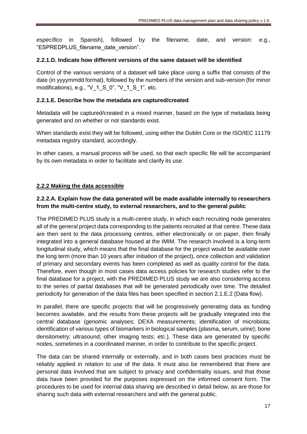*específico* in Spanish), followed by the filename, date, and version: e.g., "ESPREDPLUS\_filename\_date\_version".

#### **2.2.1.D. Indicate how different versions of the same dataset will be identified**

Control of the various versions of a dataset will take place using a suffix that consists of the date (in yyyymmdd format), followed by the numbers of the version and sub-version (for minor modifications), e.g., " $V$  1 S 0", " $V$  1 S 1", etc.

#### **2.2.1.E. Describe how the metadata are captured/created**

Metadata will be captured/created in a mixed manner, based on the type of metadata being generated and on whether or not standards exist.

When standards exist they will be followed, using either the Dublin Core or the ISO/IEC 11179 metadata registry standard, accordingly.

In other cases, a manual process will be used, so that each specific file will be accompanied by its own metadata in order to facilitate and clarify its use.

#### **2.2.2 Making the data accessible**

## **2.2.2.A. Explain how the data generated will be made available internally to researchers from the multi-centre study, to external researchers, and to the general public**

The PREDIMED PLUS study is a multi-centre study, in which each recruiting node generates all of the general project data corresponding to the patients recruited at that centre. These data are then sent to the data processing centres, either electronically or on paper, then finally integrated into a general database housed at the IMIM. The research involved is a long-term longitudinal study, which means that the final database for the project would be available over the long term (more than 10 years after initiation of the project), once collection and validation of primary and secondary events has been completed as well as quality control for the data. Therefore, even though in most cases data access policies for research studies refer to the final database for a project, with the PREDIMED PLUS study we are also considering access to the series of partial databases that will be generated periodically over time. The detailed periodicity for generation of the data files has been specified in section 2.1.E.2 (Data flow).

In parallel, there are specific projects that will be progressively generating data as funding becomes available, and the results from these projects will be gradually integrated into the central database (genomic analyses; DEXA measurements; identification of microbiota; identification of various types of biomarkers in biological samples (plasma, serum, urine); bone densitometry; ultrasound; other imaging tests; etc.). These data are generated by specific nodes, sometimes in a coordinated manner, in order to contribute to the specific project.

The data can be shared internally or externally, and in both cases best practices must be reliably applied in relation to use of the data. It must also be remembered that there are personal data involved that are subject to privacy and confidentiality issues, and that those data have been provided for the purposes expressed on the informed consent form. The procedures to be used for internal data sharing are described in detail below, as are those for sharing such data with external researchers and with the general public.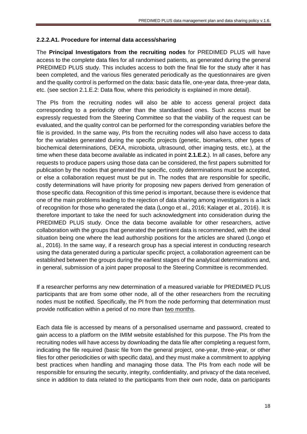#### **2.2.2.A1. Procedure for internal data access/sharing**

The **Principal Investigators from the recruiting nodes** for PREDIMED PLUS will have access to the complete data files for all randomised patients, as generated during the general PREDIMED PLUS study. This includes access to both the final file for the study after it has been completed, and the various files generated periodically as the questionnaires are given and the quality control is performed on the data: basic data file, one-year data, three-year data, etc. (see section 2.1.E.2: Data flow, where this periodicity is explained in more detail).

The PIs from the recruiting nodes will also be able to access general project data corresponding to a periodicity other than the standardised ones. Such access must be expressly requested from the Steering Committee so that the viability of the request can be evaluated, and the quality control can be performed for the corresponding variables before the file is provided. In the same way, PIs from the recruiting nodes will also have access to data for the variables generated during the specific projects (genetic, biomarkers, other types of biochemical determinations, DEXA, microbiota, ultrasound, other imaging tests, etc.), at the time when these data become available as indicated in point **2.1.E.2.**). In all cases, before any requests to produce papers using those data can be considered, the first papers submitted for publication by the nodes that generated the specific, costly determinations must be accepted, or else a collaboration request must be put in. The nodes that are responsible for specific, costly determinations will have priority for proposing new papers derived from generation of those specific data. Recognition of this time period is important, because there is evidence that one of the main problems leading to the rejection of data sharing among investigators is a lack of recognition for those who generated the data (Longo et al., 2016; Kalager et al., 2016). It is therefore important to take the need for such acknowledgment into consideration during the PREDIMED PLUS study. Once the data become available for other researchers, active collaboration with the groups that generated the pertinent data is recommended, with the ideal situation being one where the lead authorship positions for the articles are shared (Longo et al., 2016). In the same way, if a research group has a special interest in conducting research using the data generated during a particular specific project, a collaboration agreement can be established between the groups during the earliest stages of the analytical determinations and, in general, submission of a joint paper proposal to the Steering Committee is recommended.

If a researcher performs any new determination of a measured variable for PREDIMED PLUS participants that are from some other node, all of the other researchers from the recruiting nodes must be notified. Specifically, the PI from the node performing that determination must provide notification within a period of no more than two months.

Each data file is accessed by means of a personalised username and password, created to gain access to a platform on the IMIM website established for this purpose. The PIs from the recruiting nodes will have access by downloading the data file after completing a request form, indicating the file required (basic file from the general project, one-year, three-year, or other files for other periodicities or with specific data), and they must make a commitment to applying best practices when handling and managing those data. The PIs from each node will be responsible for ensuring the security, integrity, confidentiality, and privacy of the data received, since in addition to data related to the participants from their own node, data on participants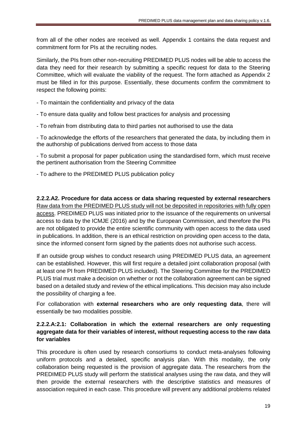from all of the other nodes are received as well. Appendix 1 contains the data request and commitment form for PIs at the recruiting nodes.

Similarly, the PIs from other non-recruiting PREDIMED PLUS nodes will be able to access the data they need for their research by submitting a specific request for data to the Steering Committee, which will evaluate the viability of the request. The form attached as Appendix 2 must be filled in for this purpose. Essentially, these documents confirm the commitment to respect the following points:

- To maintain the confidentiality and privacy of the data
- To ensure data quality and follow best practices for analysis and processing
- To refrain from distributing data to third parties not authorised to use the data

- To acknowledge the efforts of the researchers that generated the data, by including them in the authorship of publications derived from access to those data

- To submit a proposal for paper publication using the standardised form, which must receive the pertinent authorisation from the Steering Committee

- To adhere to the PREDIMED PLUS publication policy

**2.2.2.A2. Procedure for data access or data sharing requested by external researchers**  Raw data from the PREDIMED PLUS study will not be deposited in repositories with fully open access. PREDIMED PLUS was initiated prior to the issuance of the requirements on universal access to data by the ICMJE (2016) and by the European Commission, and therefore the PIs are not obligated to provide the entire scientific community with open access to the data used in publications. In addition, there is an ethical restriction on providing open access to the data, since the informed consent form signed by the patients does not authorise such access.

If an outside group wishes to conduct research using PREDIMED PLUS data, an agreement can be established. However, this will first require a detailed joint collaboration proposal (with at least one PI from PREDIMED PLUS included). The Steering Committee for the PREDIMED PLUS trial must make a decision on whether or not the collaboration agreement can be signed based on a detailed study and review of the ethical implications. This decision may also include the possibility of charging a fee.

For collaboration with **external researchers who are only requesting data**, there will essentially be two modalities possible.

## **2.2.2.A:2.1: Collaboration in which the external researchers are only requesting aggregate data for their variables of interest, without requesting access to the raw data for variables**

This procedure is often used by research consortiums to conduct meta-analyses following uniform protocols and a detailed, specific analysis plan. With this modality, the only collaboration being requested is the provision of aggregate data. The researchers from the PREDIMED PLUS study will perform the statistical analyses using the raw data, and they will then provide the external researchers with the descriptive statistics and measures of association required in each case. This procedure will prevent any additional problems related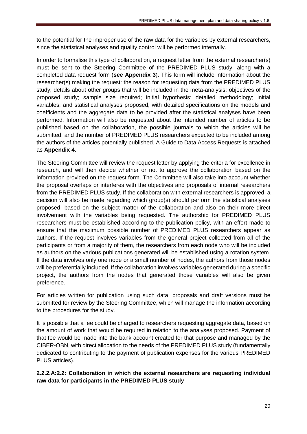to the potential for the improper use of the raw data for the variables by external researchers, since the statistical analyses and quality control will be performed internally.

In order to formalise this type of collaboration, a request letter from the external researcher(s) must be sent to the Steering Committee of the PREDIMED PLUS study, along with a completed data request form (**see Appendix 3**). This form will include information about the researcher(s) making the request: the reason for requesting data from the PREDIMED PLUS study; details about other groups that will be included in the meta-analysis; objectives of the proposed study; sample size required; initial hypothesis; detailed methodology; initial variables; and statistical analyses proposed, with detailed specifications on the models and coefficients and the aggregate data to be provided after the statistical analyses have been performed. Information will also be requested about the intended number of articles to be published based on the collaboration, the possible journals to which the articles will be submitted, and the number of PREDIMED PLUS researchers expected to be included among the authors of the articles potentially published. A Guide to Data Access Requests is attached as **Appendix 4**.

The Steering Committee will review the request letter by applying the criteria for excellence in research, and will then decide whether or not to approve the collaboration based on the information provided on the request form. The Committee will also take into account whether the proposal overlaps or interferes with the objectives and proposals of internal researchers from the PREDIMED PLUS study. If the collaboration with external researchers is approved, a decision will also be made regarding which group(s) should perform the statistical analyses proposed, based on the subject matter of the collaboration and also on their more direct involvement with the variables being requested. The authorship for PREDIMED PLUS researchers must be established according to the publication policy, with an effort made to ensure that the maximum possible number of PREDIMED PLUS researchers appear as authors. If the request involves variables from the general project collected from all of the participants or from a majority of them, the researchers from each node who will be included as authors on the various publications generated will be established using a rotation system. If the data involves only one node or a small number of nodes, the authors from those nodes will be preferentially included. If the collaboration involves variables generated during a specific project, the authors from the nodes that generated those variables will also be given preference.

For articles written for publication using such data, proposals and draft versions must be submitted for review by the Steering Committee, which will manage the information according to the procedures for the study.

It is possible that a fee could be charged to researchers requesting aggregate data, based on the amount of work that would be required in relation to the analyses proposed. Payment of that fee would be made into the bank account created for that purpose and managed by the CIBER-OBN, with direct allocation to the needs of the PREDIMED PLUS study (fundamentally dedicated to contributing to the payment of publication expenses for the various PREDIMED PLUS articles).

**2.2.2.A:2.2: Collaboration in which the external researchers are requesting individual raw data for participants in the PREDIMED PLUS study**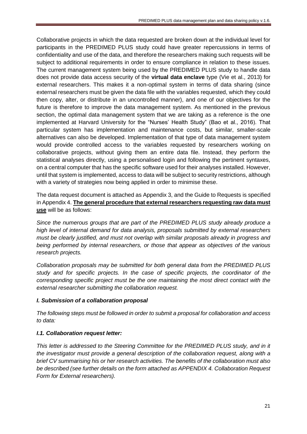Collaborative projects in which the data requested are broken down at the individual level for participants in the PREDIMED PLUS study could have greater repercussions in terms of confidentiality and use of the data, and therefore the researchers making such requests will be subject to additional requirements in order to ensure compliance in relation to these issues. The current management system being used by the PREDIMED PLUS study to handle data does not provide data access security of the **virtual data enclave** type (Vie et al., 2013) for external researchers. This makes it a non-optimal system in terms of data sharing (since external researchers must be given the data file with the variables requested, which they could then copy, alter, or distribute in an uncontrolled manner), and one of our objectives for the future is therefore to improve the data management system. As mentioned in the previous section, the optimal data management system that we are taking as a reference is the one implemented at Harvard University for the "Nurses' Health Study" (Bao et al., 2016). That particular system has implementation and maintenance costs, but similar, smaller-scale alternatives can also be developed. Implementation of that type of data management system would provide controlled access to the variables requested by researchers working on collaborative projects, without giving them an entire data file. Instead, they perform the statistical analyses directly, using a personalised login and following the pertinent syntaxes, on a central computer that has the specific software used for their analyses installed. However, until that system is implemented, access to data will be subject to security restrictions, although with a variety of strategies now being applied in order to minimise these.

The data request document is attached as Appendix 3, and the Guide to Requests is specified in Appendix 4. **The general procedure that external researchers requesting raw data must use** will be as follows:

*Since the numerous groups that are part of the PREDIMED PLUS study already produce a high level of internal demand for data analysis, proposals submitted by external researchers must be clearly justified, and must not overlap with similar proposals already in progress and being performed by internal researchers, or those that appear as objectives of the various research projects.*

*Collaboration proposals may be submitted for both general data from the PREDIMED PLUS study and for specific projects. In the case of specific projects, the coordinator of the corresponding specific project must be the one maintaining the most direct contact with the external researcher submitting the collaboration request.*

#### *I. Submission of a collaboration proposal*

*The following steps must be followed in order to submit a proposal for collaboration and access to data:*

## *I.1. Collaboration request letter:*

*This letter is addressed to the Steering Committee for the PREDIMED PLUS study, and in it the investigator must provide a general description of the collaboration request, along with a brief CV summarising his or her research activities. The benefits of the collaboration must also be described (see further details on the form attached as APPENDIX 4. Collaboration Request Form for External researchers).*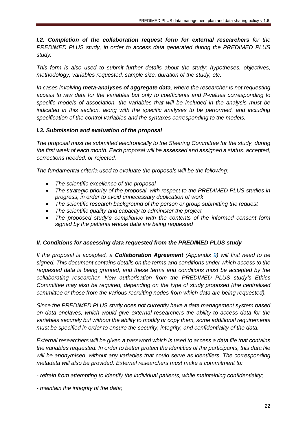*I.2. Completion of the collaboration request form for external researchers for the PREDIMED PLUS study, in order to access data generated during the PREDIMED PLUS study.*

*This form is also used to submit further details about the study: hypotheses, objectives, methodology, variables requested, sample size, duration of the study, etc.*

*In cases involving meta-analyses of aggregate data, where the researcher is not requesting access to raw data for the variables but only to coefficients and P-values corresponding to specific models of association, the variables that will be included in the analysis must be indicated in this section, along with the specific analyses to be performed, and including specification of the control variables and the syntaxes corresponding to the models.*

#### *I.3. Submission and evaluation of the proposal*

*The proposal must be submitted electronically to the Steering Committee for the study, during the first week of each month. Each proposal will be assessed and assigned a status: accepted, corrections needed, or rejected.* 

*The fundamental criteria used to evaluate the proposals will be the following:*

- *The scientific excellence of the proposal*
- The strategic priority of the proposal, with respect to the PREDIMED PLUS studies in *progress, in order to avoid unnecessary duplication of work*
- *The scientific research background of the person or group submitting the request*
- *The scientific quality and capacity to administer the project*
- *The proposed study's compliance with the contents of the informed consent form signed by the patients whose data are being requested*

## *II. Conditions for accessing data requested from the PREDIMED PLUS study*

*If the proposal is accepted, a Collaboration Agreement (Appendix 9) will first need to be signed. This document contains details on the terms and conditions under which access to the requested data is being granted, and these terms and conditions must be accepted by the collaborating researcher. New authorisation from the PREDIMED PLUS study's Ethics Committee may also be required, depending on the type of study proposed (the centralised committee or those from the various recruiting nodes from which data are being requested).*

*Since the PREDIMED PLUS study does not currently have a data management system based on data enclaves, which would give external researchers the ability to access data for the variables securely but without the ability to modify or copy them, some additional requirements must be specified in order to ensure the security, integrity, and confidentiality of the data.*

*External researchers will be given a password which is used to access a data file that contains the variables requested. In order to better protect the identities of the participants, this data file will be anonymised, without any variables that could serve as identifiers. The corresponding metadata will also be provided. External researchers must make a commitment to:*

*- refrain from attempting to identify the individual patients, while maintaining confidentiality;*

*- maintain the integrity of the data;*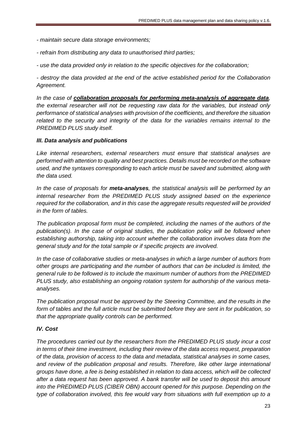- *- maintain secure data storage environments;*
- *- refrain from distributing any data to unauthorised third parties;*
- *- use the data provided only in relation to the specific objectives for the collaboration;*

*- destroy the data provided at the end of the active established period for the Collaboration Agreement.*

*In the case of collaboration proposals for performing meta-analysis of aggregate data, the external researcher will not be requesting raw data for the variables, but instead only performance of statistical analyses with provision of the coefficients, and therefore the situation related to the security and integrity of the data for the variables remains internal to the PREDIMED PLUS study itself.*

#### *III. Data analysis and publications*

*Like internal researchers, external researchers must ensure that statistical analyses are performed with attention to quality and best practices. Details must be recorded on the software used, and the syntaxes corresponding to each article must be saved and submitted, along with the data used.*

*In the case of proposals for meta-analyses, the statistical analysis will be performed by an internal researcher from the PREDIMED PLUS study assigned based on the experience required for the collaboration, and in this case the aggregate results requested will be provided in the form of tables.*

*The publication proposal form must be completed, including the names of the authors of the publication(s). In the case of original studies, the publication policy will be followed when establishing authorship, taking into account whether the collaboration involves data from the general study and for the total sample or if specific projects are involved.* 

*In the case of collaborative studies or meta-analyses in which a large number of authors from other groups are participating and the number of authors that can be included is limited, the general rule to be followed is to include the maximum number of authors from the PREDIMED PLUS study, also establishing an ongoing rotation system for authorship of the various metaanalyses.*

*The publication proposal must be approved by the Steering Committee, and the results in the form of tables and the full article must be submitted before they are sent in for publication, so that the appropriate quality controls can be performed.*

#### *IV. Cost*

*The procedures carried out by the researchers from the PREDIMED PLUS study incur a cost in terms of their time investment, including their review of the data access request, preparation of the data, provision of access to the data and metadata, statistical analyses in some cases, and review of the publication proposal and results. Therefore, like other large international groups have done, a fee is being established in relation to data access, which will be collected after a data request has been approved. A bank transfer will be used to deposit this amount into the PREDIMED PLUS (CIBER OBN) account opened for this purpose. Depending on the type of collaboration involved, this fee would vary from situations with full exemption up to a*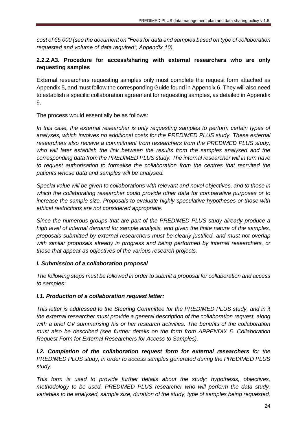*cost of €5,000 (see the document on "Fees for data and samples based on type of collaboration requested and volume of data required"; Appendix 10).*

## **2.2.2.A3. Procedure for access/sharing with external researchers who are only requesting samples**

External researchers requesting samples only must complete the request form attached as Appendix 5, and must follow the corresponding Guide found in Appendix 6. They will also need to establish a specific collaboration agreement for requesting samples, as detailed in Appendix 9.

The process would essentially be as follows:

*In this case, the external researcher is only requesting samples to perform certain types of analyses, which involves no additional costs for the PREDIMED PLUS study. These external researchers also receive a commitment from researchers from the PREDIMED PLUS study, who will later establish the link between the results from the samples analysed and the corresponding data from the PREDIMED PLUS study. The internal researcher will in turn have to request authorisation to formalise the collaboration from the centres that recruited the patients whose data and samples will be analysed.*

*Special value will be given to collaborations with relevant and novel objectives, and to those in which the collaborating researcher could provide other data for comparative purposes or to increase the sample size. Proposals to evaluate highly speculative hypotheses or those with ethical restrictions are not considered appropriate.*

*Since the numerous groups that are part of the PREDIMED PLUS study already produce a high level of internal demand for sample analysis, and given the finite nature of the samples, proposals submitted by external researchers must be clearly justified, and must not overlap with similar proposals already in progress and being performed by internal researchers, or those that appear as objectives of the various research projects.*

## *I. Submission of a collaboration proposal*

*The following steps must be followed in order to submit a proposal for collaboration and access to samples:*

## *I.1. Production of a collaboration request letter:*

*This letter is addressed to the Steering Committee for the PREDIMED PLUS study, and in it the external researcher must provide a general description of the collaboration request, along with a brief CV summarising his or her research activities. The benefits of the collaboration must also be described (see further details on the form from APPENDIX 5. Collaboration Request Form for External Researchers for Access to Samples).* 

*I.2. Completion of the collaboration request form for external researchers for the PREDIMED PLUS study, in order to access samples generated during the PREDIMED PLUS study.*

*This form is used to provide further details about the study: hypothesis, objectives, methodology to be used, PREDIMED PLUS researcher who will perform the data study, variables to be analysed, sample size, duration of the study, type of samples being requested,*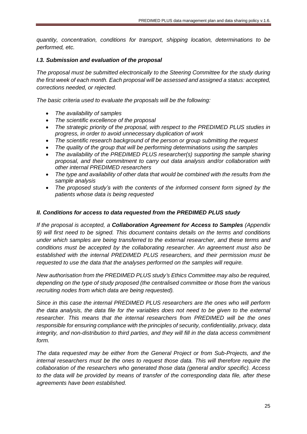*quantity, concentration, conditions for transport, shipping location, determinations to be performed, etc.*

#### *I.3. Submission and evaluation of the proposal*

*The proposal must be submitted electronically to the Steering Committee for the study during the first week of each month. Each proposal will be assessed and assigned a status: accepted, corrections needed, or rejected.* 

*The basic criteria used to evaluate the proposals will be the following:*

- *The availability of samples*
- *The scientific excellence of the proposal*
- *The strategic priority of the proposal, with respect to the PREDIMED PLUS studies in progress, in order to avoid unnecessary duplication of work*
- *The scientific research background of the person or group submitting the request*
- *The quality of the group that will be performing determinations using the samples*
- *The availability of the PREDIMED PLUS researcher(s) supporting the sample sharing proposal, and their commitment to carry out data analysis and/or collaboration with other internal PREDIMED researchers*
- *The type and availability of other data that would be combined with the results from the sample analysis*
- *The proposed study's with the contents of the informed consent form signed by the patients whose data is being requested*

#### *II. Conditions for access to data requested from the PREDIMED PLUS study*

*If the proposal is accepted, a Collaboration Agreement for Access to Samples (Appendix 9) will first need to be signed. This document contains details on the terms and conditions under which samples are being transferred to the external researcher, and these terms and conditions must be accepted by the collaborating researcher. An agreement must also be established with the internal PREDIMED PLUS researchers, and their permission must be requested to use the data that the analyses performed on the samples will require.*

*New authorisation from the PREDIMED PLUS study's Ethics Committee may also be required, depending on the type of study proposed (the centralised committee or those from the various recruiting nodes from which data are being requested).*

*Since in this case the internal PREDIMED PLUS researchers are the ones who will perform the data analysis, the data file for the variables does not need to be given to the external researcher. This means that the internal researchers from PREDIMED will be the ones responsible for ensuring compliance with the principles of security, confidentiality, privacy, data integrity, and non-distribution to third parties, and they will fill in the data access commitment form.*

*The data requested may be either from the General Project or from Sub-Projects, and the internal researchers must be the ones to request those data. This will therefore require the collaboration of the researchers who generated those data (general and/or specific). Access to the data will be provided by means of transfer of the corresponding data file, after these agreements have been established.*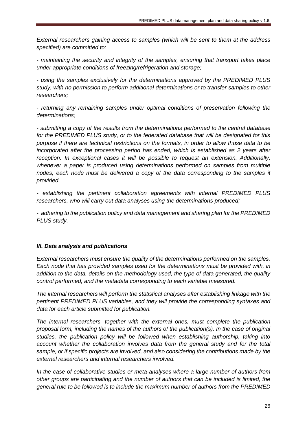*External researchers gaining access to samples (which will be sent to them at the address specified) are committed to:*

*- maintaining the security and integrity of the samples, ensuring that transport takes place under appropriate conditions of freezing/refrigeration and storage;*

*- using the samples exclusively for the determinations approved by the PREDIMED PLUS study, with no permission to perform additional determinations or to transfer samples to other researchers;*

*- returning any remaining samples under optimal conditions of preservation following the determinations;*

*- submitting a copy of the results from the determinations performed to the central database for the PREDIMED PLUS study, or to the federated database that will be designated for this purpose if there are technical restrictions on the formats, in order to allow those data to be incorporated after the processing period has ended, which is established as 2 years after reception. In exceptional cases it will be possible to request an extension. Additionally, whenever a paper is produced using determinations performed on samples from multiple*  nodes, each node must be delivered a copy of the data corresponding to the samples it *provided.*

*- establishing the pertinent collaboration agreements with internal PREDIMED PLUS researchers, who will carry out data analyses using the determinations produced;*

*- adhering to the publication policy and data management and sharing plan for the PREDIMED PLUS study.*

#### *III. Data analysis and publications*

*External researchers must ensure the quality of the determinations performed on the samples. Each node that has provided samples used for the determinations must be provided with, in addition to the data, details on the methodology used, the type of data generated, the quality control performed, and the metadata corresponding to each variable measured.*

*The internal researchers will perform the statistical analyses after establishing linkage with the pertinent PREDIMED PLUS variables, and they will provide the corresponding syntaxes and data for each article submitted for publication.*

*The internal researchers, together with the external ones, must complete the publication proposal form, including the names of the authors of the publication(s). In the case of original studies, the publication policy will be followed when establishing authorship, taking into account whether the collaboration involves data from the general study and for the total sample, or if specific projects are involved, and also considering the contributions made by the external researchers and internal researchers involved.*

*In the case of collaborative studies or meta-analyses where a large number of authors from other groups are participating and the number of authors that can be included is limited, the general rule to be followed is to include the maximum number of authors from the PREDIMED*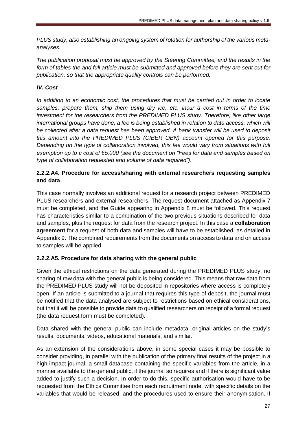*PLUS study, also establishing an ongoing system of rotation for authorship of the various metaanalyses.*

*The publication proposal must be approved by the Steering Committee, and the results in the form of tables the and full article must be submitted and approved before they are sent out for publication, so that the appropriate quality controls can be performed.*

## *IV. Cost*

*In addition to an economic cost, the procedures that must be carried out in order to locate samples, prepare them, ship them using dry ice, etc. incur a cost in terms of the time investment for the researchers from the PREDIMED PLUS study. Therefore, like other large*  international groups have done, a fee is being established in relation to data access, which will *be collected after a data request has been approved. A bank transfer will be used to deposit this amount into the PREDIMED PLUS (CIBER OBN) account opened for this purpose. Depending on the type of collaboration involved, this fee would vary from situations with full exemption up to a cost of €5,000 (see the document on "Fees for data and samples based on type of collaboration requested and volume of data required").*

## **2.2.2.A4. Procedure for access/sharing with external researchers requesting samples and data**

This case normally involves an additional request for a research project between PREDIMED PLUS researchers and external researchers. The request document attached as Appendix 7 must be completed, and the Guide appearing in Appendix 8 must be followed. This request has characteristics similar to a combination of the two previous situations described for data and samples, plus the request for data from the research project. In this case a **collaboration agreement** for a request of both data and samples will have to be established, as detailed in Appendix 9. The combined requirements from the documents on access to data and on access to samples will be applied.

## **2.2.2.A5. Procedure for data sharing with the general public**

Given the ethical restrictions on the data generated during the PREDIMED PLUS study, no sharing of raw data with the general public is being considered. This means that raw data from the PREDIMED PLUS study will not be deposited in repositories where access is completely open. If an article is submitted to a journal that requires this type of deposit, the journal must be notified that the data analysed are subject to restrictions based on ethical considerations, but that it will be possible to provide data to qualified researchers on receipt of a formal request (the data request form must be completed).

Data shared with the general public can include metadata, original articles on the study's results, documents, videos, educational materials, and similar.

As an extension of the considerations above, in some special cases it may be possible to consider providing, in parallel with the publication of the primary final results of the project in a high-impact journal, a small database containing the specific variables from the article, in a manner available to the general public, if the journal so requires and if there is significant value added to justify such a decision. In order to do this, specific authorisation would have to be requested from the Ethics Committee from each recruitment node, with specific details on the variables that would be released, and the procedures used to ensure their anonymisation. If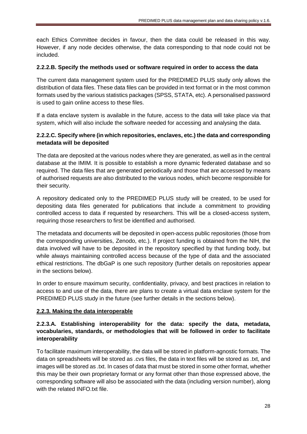each Ethics Committee decides in favour, then the data could be released in this way. However, if any node decides otherwise, the data corresponding to that node could not be included.

#### **2.2.2.B. Specify the methods used or software required in order to access the data**

The current data management system used for the PREDIMED PLUS study only allows the distribution of data files. These data files can be provided in text format or in the most common formats used by the various statistics packages (SPSS, STATA, etc). A personalised password is used to gain online access to these files.

If a data enclave system is available in the future, access to the data will take place via that system, which will also include the software needed for accessing and analysing the data.

## **2.2.2.C. Specify where (in which repositories, enclaves, etc.) the data and corresponding metadata will be deposited**

The data are deposited at the various nodes where they are generated, as well as in the central database at the IMIM. It is possible to establish a more dynamic federated database and so required. The data files that are generated periodically and those that are accessed by means of authorised requests are also distributed to the various nodes, which become responsible for their security.

A repository dedicated only to the PREDIMED PLUS study will be created, to be used for depositing data files generated for publications that include a commitment to providing controlled access to data if requested by researchers. This will be a closed-access system, requiring those researchers to first be identified and authorised.

The metadata and documents will be deposited in open-access public repositories (those from the corresponding universities, Zenodo, etc.). If project funding is obtained from the NIH, the data involved will have to be deposited in the repository specified by that funding body, but while always maintaining controlled access because of the type of data and the associated ethical restrictions. The dbGaP is one such repository (further details on repositories appear in the sections below).

In order to ensure maximum security, confidentiality, privacy, and best practices in relation to access to and use of the data, there are plans to create a virtual data enclave system for the PREDIMED PLUS study in the future (see further details in the sections below).

## **2.2.3. Making the data interoperable**

## **2.2.3.A. Establishing interoperability for the data: specify the data, metadata, vocabularies, standards, or methodologies that will be followed in order to facilitate interoperability**

To facilitate maximum interoperability, the data will be stored in platform-agnostic formats. The data on spreadsheets will be stored as .cvs files, the data in text files will be stored as .txt, and images will be stored as .txt. In cases of data that must be stored in some other format, whether this may be their own proprietary format or any format other than those expressed above, the corresponding software will also be associated with the data (including version number), along with the related INFO.txt file.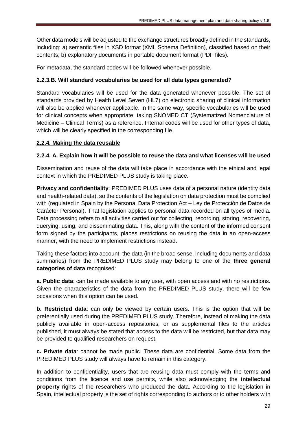Other data models will be adjusted to the exchange structures broadly defined in the standards, including: a) semantic files in XSD format (XML Schema Definition), classified based on their contents; b) explanatory documents in portable document format (PDF files).

For metadata, the standard codes will be followed whenever possible.

## **2.2.3.B. Will standard vocabularies be used for all data types generated?**

Standard vocabularies will be used for the data generated whenever possible. The set of standards provided by Health Level Seven (HL7) on electronic sharing of clinical information will also be applied whenever applicable. In the same way, specific vocabularies will be used for clinical concepts when appropriate, taking SNOMED CT (Systematized Nomenclature of Medicine – Clinical Terms) as a reference. Internal codes will be used for other types of data, which will be clearly specified in the corresponding file.

## **2.2.4. Making the data reusable**

## **2.2.4. A. Explain how it will be possible to reuse the data and what licenses will be used**

Dissemination and reuse of the data will take place in accordance with the ethical and legal context in which the PREDIMED PLUS study is taking place.

**Privacy and confidentiality**: PREDIMED PLUS uses data of a personal nature (identity data and health-related data), so the contents of the legislation on data protection must be complied with (regulated in Spain by the Personal Data Protection Act – Ley de Protección de Datos de Carácter Personal). That legislation applies to personal data recorded on all types of media. Data processing refers to all activities carried out for collecting, recording, storing, recovering, querying, using, and disseminating data. This, along with the content of the informed consent form signed by the participants, places restrictions on reusing the data in an open-access manner, with the need to implement restrictions instead.

Taking these factors into account, the data (in the broad sense, including documents and data summaries) from the PREDIMED PLUS study may belong to one of the **three general categories of data** recognised:

**a. Public data**: can be made available to any user, with open access and with no restrictions. Given the characteristics of the data from the PREDIMED PLUS study, there will be few occasions when this option can be used.

**b. Restricted data**: can only be viewed by certain users. This is the option that will be preferentially used during the PREDIMED PLUS study. Therefore, instead of making the data publicly available in open-access repositories, or as supplemental files to the articles published, it must always be stated that access to the data will be restricted, but that data may be provided to qualified researchers on request.

**c. Private data**: cannot be made public. These data are confidential. Some data from the PREDIMED PLUS study will always have to remain in this category.

In addition to confidentiality, users that are reusing data must comply with the terms and conditions from the licence and use permits, while also acknowledging the **intellectual property** rights of the researchers who produced the data. According to the legislation in Spain, intellectual property is the set of rights corresponding to authors or to other holders with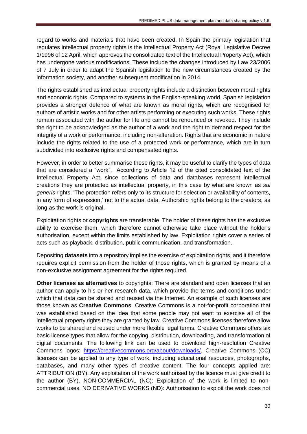regard to works and materials that have been created. In Spain the primary legislation that regulates intellectual property rights is the Intellectual Property Act (Royal Legislative Decree 1/1996 of 12 April, which approves the consolidated text of the Intellectual Property Act), which has undergone various modifications. These include the changes introduced by Law 23/2006 of 7 July in order to adapt the Spanish legislation to the new circumstances created by the information society, and another subsequent modification in 2014.

The rights established as intellectual property rights include a distinction between moral rights and economic rights. Compared to systems in the English-speaking world, Spanish legislation provides a stronger defence of what are known as moral rights, which are recognised for authors of artistic works and for other artists performing or executing such works. These rights remain associated with the author for life and cannot be renounced or revoked. They include the right to be acknowledged as the author of a work and the right to demand respect for the integrity of a work or performance, including non-alteration. Rights that are economic in nature include the rights related to the use of a protected work or performance, which are in turn subdivided into exclusive rights and compensated rights.

However, in order to better summarise these rights, it may be useful to clarify the types of data that are considered a "work". According to Article 12 of the cited consolidated text of the Intellectual Property Act, since collections of data and databases represent intellectual creations they are protected as intellectual property, in this case by what are known as *sui generis* rights. 'The protection refers only to its structure for selection or availability of contents, in any form of expression,' not to the actual data. Authorship rights belong to the creators, as long as the work is original.

Exploitation rights or **copyrights** are transferable. The holder of these rights has the exclusive ability to exercise them, which therefore cannot otherwise take place without the holder's authorisation, except within the limits established by law. Exploitation rights cover a series of acts such as playback, distribution, public communication, and transformation.

Depositing **datasets** into a repository implies the exercise of exploitation rights, and it therefore requires explicit permission from the holder of those rights, which is granted by means of a non-exclusive assignment agreement for the rights required.

**Other licenses as alternatives** to copyrights: There are standard and open licenses that an author can apply to his or her research data, which provide the terms and conditions under which that data can be shared and reused via the Internet. An example of such licenses are those known as **Creative Commons**. Creative Commons is a not-for-profit corporation that was established based on the idea that some people may not want to exercise all of the intellectual property rights they are granted by law. Creative Commons licenses therefore allow works to be shared and reused under more flexible legal terms. Creative Commons offers six basic license types that allow for the copying, distribution, downloading, and transformation of digital documents. The following link can be used to download high-resolution Creative Commons logos: [https://creativecommons.org/about/downloads/.](https://creativecommons.org/about/downloads/) Creative Commons (CC) licenses can be applied to any type of work, including educational resources, photographs, databases, and many other types of creative content. The four concepts applied are: ATTRIBUTION (BY): Any exploitation of the work authorised by the licence must give credit to the author (BY). NON-COMMERCIAL (NC): Exploitation of the work is limited to noncommercial uses. NO DERIVATIVE WORKS (ND): Authorisation to exploit the work does not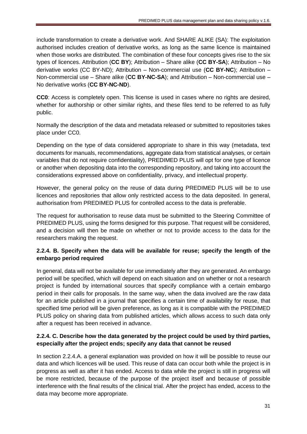include transformation to create a derivative work. And SHARE ALIKE (SA): The exploitation authorised includes creation of derivative works, as long as the same licence is maintained when those works are distributed. The combination of these four concepts gives rise to the six types of licences. Attribution (**CC BY**); Attribution – Share alike (**CC BY-SA**); Attribution – No derivative works (CC BY-ND); Attribution – Non-commercial use (**CC BY-NC**); Attribution – Non-commercial use – Share alike (**CC BY-NC-SA**); and Attribution – Non-commercial use – No derivative works (**CC BY-NC-ND**).

**CC0**: Access is completely open. This license is used in cases where no rights are desired, whether for authorship or other similar rights, and these files tend to be referred to as fully public.

Normally the description of the data and metadata released or submitted to repositories takes place under CC0.

Depending on the type of data considered appropriate to share in this way (metadata, text documents for manuals, recommendations, aggregate data from statistical analyses, or certain variables that do not require confidentiality), PREDIMED PLUS will opt for one type of licence or another when depositing data into the corresponding repository, and taking into account the considerations expressed above on confidentiality, privacy, and intellectual property.

However, the general policy on the reuse of data during PREDIMED PLUS will be to use licences and repositories that allow only restricted access to the data deposited. In general, authorisation from PREDIMED PLUS for controlled access to the data is preferable.

The request for authorisation to reuse data must be submitted to the Steering Committee of PREDIMED PLUS, using the forms designed for this purpose. That request will be considered, and a decision will then be made on whether or not to provide access to the data for the researchers making the request.

## **2.2.4. B. Specify when the data will be available for reuse; specify the length of the embargo period required**

In general, data will not be available for use immediately after they are generated. An embargo period will be specified, which will depend on each situation and on whether or not a research project is funded by international sources that specify compliance with a certain embargo period in their calls for proposals. In the same way, when the data involved are the raw data for an article published in a journal that specifies a certain time of availability for reuse, that specified time period will be given preference, as long as it is compatible with the PREDIMED PLUS policy on sharing data from published articles, which allows access to such data only after a request has been received in advance.

## **2.2.4. C. Describe how the data generated by the project could be used by third parties, especially after the project ends; specify any data that cannot be reused**

In section 2.2.4.A. a general explanation was provided on how it will be possible to reuse our data and which licences will be used. This reuse of data can occur both while the project is in progress as well as after it has ended. Access to data while the project is still in progress will be more restricted, because of the purpose of the project itself and because of possible interference with the final results of the clinical trial. After the project has ended, access to the data may become more appropriate.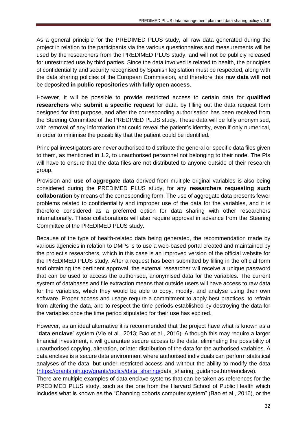As a general principle for the PREDIMED PLUS study, all raw data generated during the project in relation to the participants via the various questionnaires and measurements will be used by the researchers from the PREDIMED PLUS study, and will not be publicly released for unrestricted use by third parties. Since the data involved is related to health, the principles of confidentiality and security recognised by Spanish legislation must be respected, along with the data sharing policies of the European Commission, and therefore this **raw data will not** be deposited **in public repositories with fully open access.**

However, it will be possible to provide restricted access to certain data for **qualified researchers** who **submit a specific request** for data, by filling out the data request form designed for that purpose, and after the corresponding authorisation has been received from the Steering Committee of the PREDIMED PLUS study. These data will be fully anonymised, with removal of any information that could reveal the patient's identity, even if only numerical, in order to minimise the possibility that the patient could be identified.

Principal investigators are never authorised to distribute the general or specific data files given to them, as mentioned in 1.2, to unauthorised personnel not belonging to their node. The PIs will have to ensure that the data files are not distributed to anyone outside of their research group.

Provision and **use of aggregate data** derived from multiple original variables is also being considered during the PREDIMED PLUS study, for any **researchers requesting such collaboration** by means of the corresponding form. The use of aggregate data presents fewer problems related to confidentiality and improper use of the data for the variables, and it is therefore considered as a preferred option for data sharing with other researchers internationally. These collaborations will also require approval in advance from the Steering Committee of the PREDIMED PLUS study.

Because of the type of health-related data being generated, the recommendation made by various agencies in relation to DMPs is to use a web-based portal created and maintained by the project's researchers, which in this case is an improved version of the official website for the PREDIMED PLUS study. After a request has been submitted by filling in the official form and obtaining the pertinent approval, the external researcher will receive a unique password that can be used to access the authorised, anonymised data for the variables. The current system of databases and file extraction means that outside users will have access to raw data for the variables, which they would be able to copy, modify, and analyse using their own software. Proper access and usage require a commitment to apply best practices, to refrain from altering the data, and to respect the time periods established by destroying the data for the variables once the time period stipulated for their use has expired.

However, as an ideal alternative it is recommended that the project have what is known as a "**data enclave**" system (Vie et al., 2013; Bao et al., 2016). Although this may require a larger financial investment, it will guarantee secure access to the data, eliminating the possibility of unauthorised copying, alteration, or later distribution of the data for the authorised variables. A data enclave is a secure data environment where authorised individuals can perform statistical analyses of the data, but under restricted access and without the ability to modify the data [\(https://grants.nih.gov/grants/policy/data\\_sharing/d](https://grants.nih.gov/grants/policy/data_sharing/)ata\_sharing\_guidance.htm#enclave).

There are multiple examples of data enclave systems that can be taken as references for the PREDIMED PLUS study, such as the one from the Harvard School of Public Health which includes what is known as the "Channing cohorts computer system" (Bao et al., 2016), or the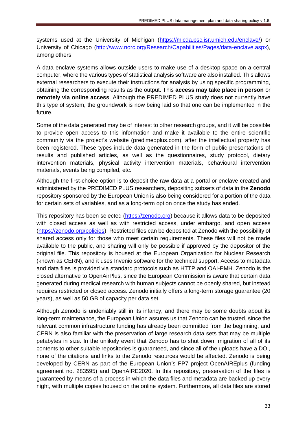systems used at the University of Michigan [\(https://micda.psc.isr.umich.edu/enclave/\)](https://micda.psc.isr.umich.edu/enclave/) or University of Chicago [\(http://www.norc.org/Research/Capabilities/Pages/data-enclave.aspx\)](http://www.norc.org/Research/Capabilities/Pages/data-enclave.aspx), among others.

A data enclave systems allows outside users to make use of a desktop space on a central computer, where the various types of statistical analysis software are also installed. This allows external researchers to execute their instructions for analysis by using specific programming, obtaining the corresponding results as the output. This **access may take place in person** or **remotely via online access**. Although the PREDIMED PLUS study does not currently have this type of system, the groundwork is now being laid so that one can be implemented in the future.

Some of the data generated may be of interest to other research groups, and it will be possible to provide open access to this information and make it available to the entire scientific community via the project's website (predimedplus.com), after the intellectual property has been registered. These types include data generated in the form of public presentations of results and published articles, as well as the questionnaires, study protocol, dietary intervention materials, physical activity intervention materials, behavioural intervention materials, events being compiled, etc.

Although the first-choice option is to deposit the raw data at a portal or enclave created and administered by the PREDIMED PLUS researchers, depositing subsets of data in the **Zenodo** repository sponsored by the European Union is also being considered for a portion of the data for certain sets of variables, and as a long-term option once the study has ended.

This repository has been selected [\(https://zenodo.org\)](https://zenodo.org/) because it allows data to be deposited with closed access as well as with restricted access, under embargo, and open access [\(https://zenodo.org/policies\)](https://zenodo.org/policies). Restricted files can be deposited at Zenodo with the possibility of shared access only for those who meet certain requirements. These files will not be made available to the public, and sharing will only be possible if approved by the depositor of the original file. This repository is housed at the European Organization for Nuclear Research (known as CERN), and it uses Invenio software for the technical support. Access to metadata and data files is provided via standard protocols such as HTTP and OAI-PMH. Zenodo is the closed alternative to OpenAirPlus, since the European Commission is aware that certain data generated during medical research with human subjects cannot be openly shared, but instead requires restricted or closed access. Zenodo initially offers a long-term storage guarantee (20 years), as well as 50 GB of capacity per data set.

Although Zenodo is undeniably still in its infancy, and there may be some doubts about its long-term maintenance, the European Union assures us that Zenodo can be trusted, since the relevant common infrastructure funding has already been committed from the beginning, and CERN is also familiar with the preservation of large research data sets that may be multiple petabytes in size. In the unlikely event that Zenodo has to shut down, migration of all of its contents to other suitable repositories is guaranteed, and since all of the uploads have a DOI, none of the citations and links to the Zenodo resources would be affected. Zenodo is being developed by CERN as part of the European Union's FP7 project OpenAIREplus (funding agreement no. 283595) and OpenAIRE2020. In this repository, preservation of the files is guaranteed by means of a process in which the data files and metadata are backed up every night, with multiple copies housed on the online system. Furthermore, all data files are stored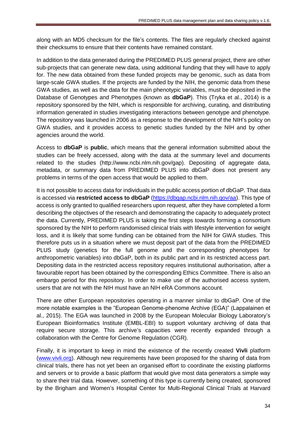along with an MD5 checksum for the file's contents. The files are regularly checked against their checksums to ensure that their contents have remained constant.

In addition to the data generated during the PREDIMED PLUS general project, there are other sub-projects that can generate new data, using additional funding that they will have to apply for. The new data obtained from these funded projects may be genomic, such as data from large-scale GWA studies. If the projects are funded by the NIH, the genomic data from these GWA studies, as well as the data for the main phenotypic variables, must be deposited in the Database of Genotypes and Phenotypes (known as **dbGaP**). This (Tryka et al., 2014) is a repository sponsored by the NIH, which is responsible for archiving, curating, and distributing information generated in studies investigating interactions between genotype and phenotype. The repository was launched in 2006 as a response to the development of the NIH's policy on GWA studies, and it provides access to genetic studies funded by the NIH and by other agencies around the world.

Access to **dbGaP** is **public**, which means that the general information submitted about the studies can be freely accessed, along with the data at the summary level and documents related to the studies (http://www.ncbi.nlm.nih.gov/gap). Depositing of aggregate data, metadata, or summary data from PREDIMED PLUS into dbGaP does not present any problems in terms of the open access that would be applied to them.

It is not possible to access data for individuals in the public access portion of dbGaP. That data is accessed via **restricted access to dbGaP** [\(https://dbgap.ncbi.nlm.nih.gov/aa\)](https://dbgap.ncbi.nlm.nih.gov/aa). This type of access is only granted to qualified researchers upon request, after they have completed a form describing the objectives of the research and demonstrating the capacity to adequately protect the data. Currently, PREDIMED PLUS is taking the first steps towards forming a consortium sponsored by the NIH to perform randomised clinical trials with lifestyle intervention for weight loss, and it is likely that some funding can be obtained from the NIH for GWA studies. This therefore puts us in a situation where we must deposit part of the data from the PREDIMED PLUS study (genetics for the full genome and the corresponding phenotypes for anthropometric variables) into dbGaP, both in its public part and in its restricted access part. Depositing data in the restricted access repository requires institutional authorisation, after a favourable report has been obtained by the corresponding Ethics Committee. There is also an embargo period for this repository. In order to make use of the authorised access system, users that are not with the NIH must have an NIH eRA Commons account.

There are other European repositories operating in a manner similar to dbGaP. One of the more notable examples is the "European Genome-phenome Archive (EGA)" (Lappalainen et al., 2015). The EGA was launched in 2008 by the European Molecular Biology Laboratory's European Bioinformatics Institute (EMBL-EBI) to support voluntary archiving of data that require secure storage. This archive's capacities were recently expanded through a collaboration with the Centre for Genome Regulation (CGR).

Finally, it is important to keep in mind the existence of the recently created **Vivli** platform [\(www.vivli.org\)](http://www.vivli.org/). Although new requirements have been proposed for the sharing of data from clinical trials, there has not yet been an organised effort to coordinate the existing platforms and servers or to provide a basic platform that would give most data generators a simple way to share their trial data. However, something of this type is currently being created, sponsored by the Brigham and Women's Hospital Center for Multi-Regional Clinical Trials at Harvard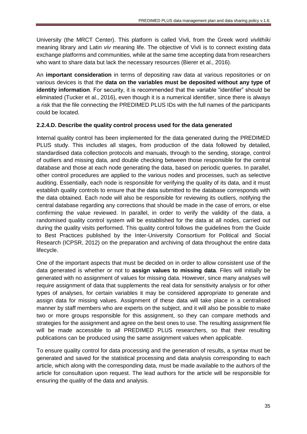University (the MRCT Center). This platform is called Vivli, from the Greek word *vivlithíki* meaning library and Latin *viv* meaning life. The objective of Vivli is to connect existing data exchange platforms and communities, while at the same time accepting data from researchers who want to share data but lack the necessary resources (Bierer et al., 2016).

An **important consideration** in terms of depositing raw data at various repositories or on various devices is that the **data on the variables must be deposited without any type of identity information**. For security, it is recommended that the variable "identifier" should be eliminated (Tucker et al., 2016), even though it is a numerical identifier, since there is always a risk that the file connecting the PREDIMED PLUS IDs with the full names of the participants could be located.

## **2.2.4.D. Describe the quality control process used for the data generated**

Internal quality control has been implemented for the data generated during the PREDIMED PLUS study. This includes all stages, from production of the data followed by detailed, standardised data collection protocols and manuals, through to the sending, storage, control of outliers and missing data, and double checking between those responsible for the central database and those at each node generating the data, based on periodic queries. In parallel, other control procedures are applied to the various nodes and processes, such as selective auditing. Essentially, each node is responsible for verifying the quality of its data, and it must establish quality controls to ensure that the data submitted to the database corresponds with the data obtained. Each node will also be responsible for reviewing its outliers, notifying the central database regarding any corrections that should be made in the case of errors, or else confirming the value reviewed. In parallel, in order to verify the validity of the data, a randomised quality control system will be established for the data at all nodes, carried out during the quality visits performed. This quality control follows the guidelines from the Guide to Best Practices published by the Inter-University Consortium for Political and Social Research (ICPSR, 2012) on the preparation and archiving of data throughout the entire data lifecycle.

One of the important aspects that must be decided on in order to allow consistent use of the data generated is whether or not to **assign values to missing data**. Files will initially be generated with no assignment of values for missing data. However, since many analyses will require assignment of data that supplements the real data for sensitivity analysis or for other types of analyses, for certain variables it may be considered appropriate to generate and assign data for missing values. Assignment of these data will take place in a centralised manner by staff members who are experts on the subject, and it will also be possible to make two or more groups responsible for this assignment, so they can compare methods and strategies for the assignment and agree on the best ones to use. The resulting assignment file will be made accessible to all PREDIMED PLUS researchers, so that their resulting publications can be produced using the same assignment values when applicable.

To ensure quality control for data processing and the generation of results, a syntax must be generated and saved for the statistical processing and data analysis corresponding to each article, which along with the corresponding data, must be made available to the authors of the article for consultation upon request. The lead authors for the article will be responsible for ensuring the quality of the data and analysis.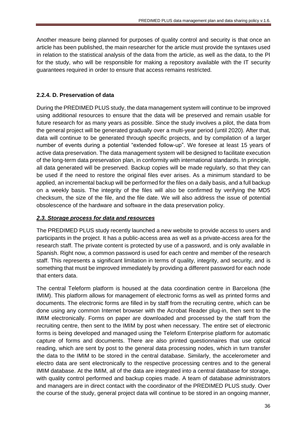Another measure being planned for purposes of quality control and security is that once an article has been published, the main researcher for the article must provide the syntaxes used in relation to the statistical analysis of the data from the article, as well as the data, to the PI for the study, who will be responsible for making a repository available with the IT security guarantees required in order to ensure that access remains restricted.

#### **2.2.4. D. Preservation of data**

During the PREDIMED PLUS study, the data management system will continue to be improved using additional resources to ensure that the data will be preserved and remain usable for future research for as many years as possible. Since the study involves a pilot, the data from the general project will be generated gradually over a multi-year period (until 2020). After that, data will continue to be generated through specific projects, and by compilation of a larger number of events during a potential "extended follow-up". We foresee at least 15 years of active data preservation. The data management system will be designed to facilitate execution of the long-term data preservation plan, in conformity with international standards. In principle, all data generated will be preserved. Backup copies will be made regularly, so that they can be used if the need to restore the original files ever arises. As a minimum standard to be applied, an incremental backup will be performed for the files on a daily basis, and a full backup on a weekly basis. The integrity of the files will also be confirmed by verifying the MD5 checksum, the size of the file, and the file date. We will also address the issue of potential obsolescence of the hardware and software in the data preservation policy.

#### *2.3. Storage process for data and resources*

The PREDIMED PLUS study recently launched a new website to provide access to users and participants in the project. It has a public-access area as well as a private-access area for the research staff. The private content is protected by use of a password, and is only available in Spanish. Right now, a common password is used for each centre and member of the research staff. This represents a significant limitation in terms of quality, integrity, and security, and is something that must be improved immediately by providing a different password for each node that enters data.

The central Teleform platform is housed at the data coordination centre in Barcelona (the IMIM). This platform allows for management of electronic forms as well as printed forms and documents. The electronic forms are filled in by staff from the recruiting centre, which can be done using any common Internet browser with the Acrobat Reader plug-in, then sent to the IMIM electronically. Forms on paper are downloaded and processed by the staff from the recruiting centre, then sent to the IMIM by post when necessary. The entire set of electronic forms is being developed and managed using the Teleform Enterprise platform for automatic capture of forms and documents. There are also printed questionnaires that use optical reading, which are sent by post to the general data processing nodes, which in turn transfer the data to the IMIM to be stored in the central database. Similarly, the accelerometer and electro data are sent electronically to the respective processing centres and to the general IMIM database. At the IMIM, all of the data are integrated into a central database for storage, with quality control performed and backup copies made. A team of database administrators and managers are in direct contact with the coordinator of the PREDIMED PLUS study. Over the course of the study, general project data will continue to be stored in an ongoing manner,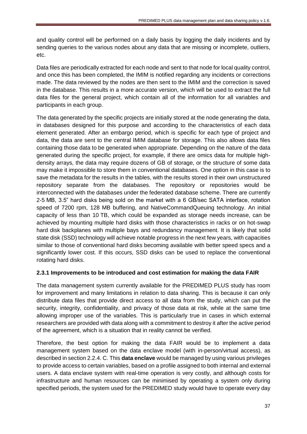and quality control will be performed on a daily basis by logging the daily incidents and by sending queries to the various nodes about any data that are missing or incomplete, outliers, etc.

Data files are periodically extracted for each node and sent to that node for local quality control, and once this has been completed, the IMIM is notified regarding any incidents or corrections made. The data reviewed by the nodes are then sent to the IMIM and the correction is saved in the database. This results in a more accurate version, which will be used to extract the full data files for the general project, which contain all of the information for all variables and participants in each group.

The data generated by the specific projects are initially stored at the node generating the data, in databases designed for this purpose and according to the characteristics of each data element generated. After an embargo period, which is specific for each type of project and data, the data are sent to the central IMIM database for storage. This also allows data files containing those data to be generated when appropriate. Depending on the nature of the data generated during the specific project, for example, if there are omics data for multiple highdensity arrays, the data may require dozens of GB of storage, or the structure of some data may make it impossible to store them in conventional databases. One option in this case is to save the metadata for the results in the tables, with the results stored in their own unstructured repository separate from the databases. The repository or repositories would be interconnected with the databases under the federated database scheme. There are currently 2-5 MB, 3.5" hard disks being sold on the market with a 6 GB/sec SATA interface, rotation speed of 7200 rpm, 128 MB buffering, and NativeCommandQueuing technology. An initial capacity of less than 10 TB, which could be expanded as storage needs increase, can be achieved by mounting multiple hard disks with those characteristics in racks or on hot-swap hard disk backplanes with multiple bays and redundancy management. It is likely that solid state disk (SSD) technology will achieve notable progress in the next few years, with capacities similar to those of conventional hard disks becoming available with better speed specs and a significantly lower cost. If this occurs, SSD disks can be used to replace the conventional rotating hard disks.

## **2.3.1 Improvements to be introduced and cost estimation for making the data FAIR**

The data management system currently available for the PREDIMED PLUS study has room for improvement and many limitations in relation to data sharing. This is because it can only distribute data files that provide direct access to all data from the study, which can put the security, integrity, confidentiality, and privacy of those data at risk, while at the same time allowing improper use of the variables. This is particularly true in cases in which external researchers are provided with data along with a commitment to destroy it after the active period of the agreement, which is a situation that in reality cannot be verified.

Therefore, the best option for making the data FAIR would be to implement a data management system based on the data enclave model (with in-person/virtual access), as described in section 2.2.4. C. This **data enclave** would be managed by using various privileges to provide access to certain variables, based on a profile assigned to both internal and external users. A data enclave system with real-time operation is very costly, and although costs for infrastructure and human resources can be minimised by operating a system only during specified periods, the system used for the PREDIMED study would have to operate every day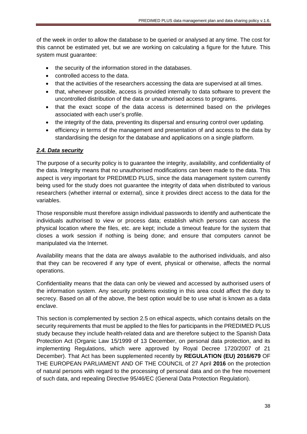of the week in order to allow the database to be queried or analysed at any time. The cost for this cannot be estimated yet, but we are working on calculating a figure for the future. This system must guarantee:

- the security of the information stored in the databases.
- controlled access to the data.
- that the activities of the researchers accessing the data are supervised at all times.
- that, whenever possible, access is provided internally to data software to prevent the uncontrolled distribution of the data or unauthorised access to programs.
- that the exact scope of the data access is determined based on the privileges associated with each user's profile.
- the integrity of the data, preventing its dispersal and ensuring control over updating.
- efficiency in terms of the management and presentation of and access to the data by standardising the design for the database and applications on a single platform.

#### *2.4. Data security*

The purpose of a security policy is to guarantee the integrity, availability, and confidentiality of the data. Integrity means that no unauthorised modifications can been made to the data. This aspect is very important for PREDIMED PLUS, since the data management system currently being used for the study does not guarantee the integrity of data when distributed to various researchers (whether internal or external), since it provides direct access to the data for the variables.

Those responsible must therefore assign individual passwords to identify and authenticate the individuals authorised to view or process data; establish which persons can access the physical location where the files, etc. are kept; include a timeout feature for the system that closes a work session if nothing is being done; and ensure that computers cannot be manipulated via the Internet.

Availability means that the data are always available to the authorised individuals, and also that they can be recovered if any type of event, physical or otherwise, affects the normal operations.

Confidentiality means that the data can only be viewed and accessed by authorised users of the information system. Any security problems existing in this area could affect the duty to secrecy. Based on all of the above, the best option would be to use what is known as a data enclave.

This section is complemented by section 2.5 on ethical aspects, which contains details on the security requirements that must be applied to the files for participants in the PREDIMED PLUS study because they include health-related data and are therefore subject to the Spanish Data Protection Act (Organic Law 15/1999 of 13 December, on personal data protection, and its implementing Regulations, which were approved by Royal Decree 1720/2007 of 21 December). That Act has been supplemented recently by **REGULATION (EU) 2016/679** OF THE EUROPEAN PARLIAMENT AND OF THE COUNCIL of 27 April **2016** on the protection of natural persons with regard to the processing of personal data and on the free movement of such data, and repealing Directive 95/46/EC (General Data Protection Regulation).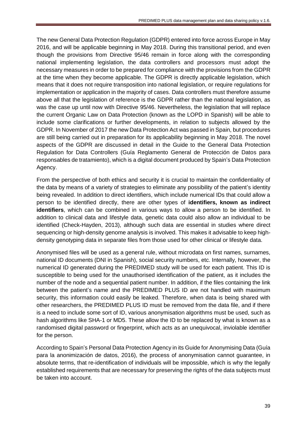The new General Data Protection Regulation (GDPR) entered into force across Europe in May 2016, and will be applicable beginning in May 2018. During this transitional period, and even though the provisions from Directive 95/46 remain in force along with the corresponding national implementing legislation, the data controllers and processors must adopt the necessary measures in order to be prepared for compliance with the provisions from the GDPR at the time when they become applicable. The GDPR is directly applicable legislation, which means that it does not require transposition into national legislation, or require regulations for implementation or application in the majority of cases. Data controllers must therefore assume above all that the legislation of reference is the GDPR rather than the national legislation, as was the case up until now with Directive 95/46. Nevertheless, the legislation that will replace the current Organic Law on Data Protection (known as the LOPD in Spanish) will be able to include some clarifications or further developments, in relation to subjects allowed by the GDPR. In November of 2017 the new Data Protection Act was passed in Spain, but procedures are still being carried out in preparation for its applicability beginning in May 2018. The novel aspects of the GDPR are discussed in detail in the Guide to the General Data Protection Regulation for Data Controllers (Guía Reglamento General de Protección de Datos para responsables de tratamiento), which is a digital document produced by Spain's Data Protection Agency.

From the perspective of both ethics and security it is crucial to maintain the confidentiality of the data by means of a variety of strategies to eliminate any possibility of the patient's identity being revealed. In addition to direct identifiers, which include numerical IDs that could allow a person to be identified directly, there are other types of **identifiers, known as indirect identifiers**, which can be combined in various ways to allow a person to be identified. In addition to clinical data and lifestyle data, genetic data could also allow an individual to be identified (Check-Hayden, 2013), although such data are essential in studies where direct sequencing or high-density genome analysis is involved. This makes it advisable to keep highdensity genotyping data in separate files from those used for other clinical or lifestyle data.

Anonymised files will be used as a general rule, without microdata on first names, surnames, national ID documents (DNI in Spanish), social security numbers, etc. Internally, however, the numerical ID generated during the PREDIMED study will be used for each patient. This ID is susceptible to being used for the unauthorised identification of the patient, as it includes the number of the node and a sequential patient number. In addition, if the files containing the link between the patient's name and the PREDIMED PLUS ID are not handled with maximum security, this information could easily be leaked. Therefore, when data is being shared with other researchers, the PREDIMED PLUS ID must be removed from the data file, and if there is a need to include some sort of ID, various anonymisation algorithms must be used, such as hash algorithms like SHA-1 or MD5. These allow the ID to be replaced by what is known as a randomised digital password or fingerprint, which acts as an unequivocal, inviolable identifier for the person.

According to Spain's Personal Data Protection Agency in its Guide for Anonymising Data (Guía para la anonimización de datos, 2016), the process of anonymisation cannot guarantee, in absolute terms, that re-identification of individuals will be impossible, which is why the legally established requirements that are necessary for preserving the rights of the data subjects must be taken into account.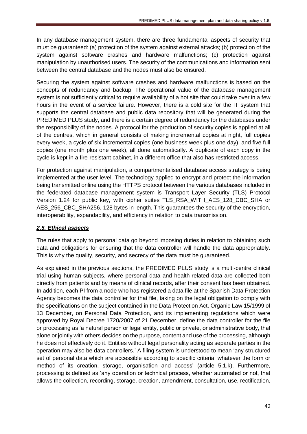In any database management system, there are three fundamental aspects of security that must be guaranteed: (a) protection of the system against external attacks; (b) protection of the system against software crashes and hardware malfunctions; (c) protection against manipulation by unauthorised users. The security of the communications and information sent between the central database and the nodes must also be ensured.

Securing the system against software crashes and hardware malfunctions is based on the concepts of redundancy and backup. The operational value of the database management system is not sufficiently critical to require availability of a hot site that could take over in a few hours in the event of a service failure. However, there is a cold site for the IT system that supports the central database and public data repository that will be generated during the PREDIMED PLUS study, and there is a certain degree of redundancy for the databases under the responsibility of the nodes. A protocol for the production of security copies is applied at all of the centres, which in general consists of making incremental copies at night, full copies every week, a cycle of six incremental copies (one business week plus one day), and five full copies (one month plus one week), all done automatically. A duplicate of each copy in the cycle is kept in a fire-resistant cabinet, in a different office that also has restricted access.

For protection against manipulation, a compartmentalised database access strategy is being implemented at the user level. The technology applied to encrypt and protect the information being transmitted online using the HTTPS protocol between the various databases included in the federated database management system is Transport Layer Security (TLS) Protocol Version 1.24 for public key, with cipher suites TLS\_RSA\_WITH\_AES\_128\_CBC\_SHA or AES 256 CBC SHA256, 128 bytes in length. This guarantees the security of the encryption, interoperability, expandability, and efficiency in relation to data transmission.

## *2.5. Ethical aspects*

The rules that apply to personal data go beyond imposing duties in relation to obtaining such data and obligations for ensuring that the data controller will handle the data appropriately. This is why the quality, security, and secrecy of the data must be guaranteed.

As explained in the previous sections, the PREDIMED PLUS study is a multi-centre clinical trial using human subjects, where personal data and health-related data are collected both directly from patients and by means of clinical records, after their consent has been obtained. In addition, each PI from a node who has registered a data file at the Spanish Data Protection Agency becomes the data controller for that file, taking on the legal obligation to comply with the specifications on the subject contained in the Data Protection Act. Organic Law 15/1999 of 13 December, on Personal Data Protection, and its implementing regulations which were approved by Royal Decree 1720/2007 of 21 December, define the data controller for the file or processing as 'a natural person or legal entity, public or private, or administrative body, that alone or jointly with others decides on the purpose, content and use of the processing, although he does not effectively do it. Entities without legal personality acting as separate parties in the operation may also be data controllers.' A filing system is understood to mean 'any structured set of personal data which are accessible according to specific criteria, whatever the form or method of its creation, storage, organisation and access' (article 5.1.k). Furthermore, processing is defined as 'any operation or technical process, whether automated or not, that allows the collection, recording, storage, creation, amendment, consultation, use, rectification,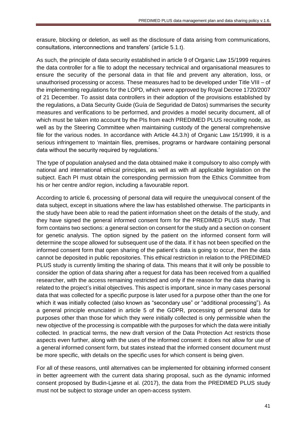erasure, blocking or deletion, as well as the disclosure of data arising from communications, consultations, interconnections and transfers' (article 5.1.t).

As such, the principle of data security established in article 9 of Organic Law 15/1999 requires the data controller for a file to adopt the necessary technical and organisational measures to ensure the security of the personal data in that file and prevent any alteration, loss, or unauthorised processing or access. These measures had to be developed under Title VIII – of the implementing regulations for the LOPD, which were approved by Royal Decree 1720/2007 of 21 December. To assist data controllers in their adoption of the provisions established by the regulations, a Data Security Guide (Guía de Seguridad de Datos) summarises the security measures and verifications to be performed, and provides a model security document, all of which must be taken into account by the PIs from each PREDIMED PLUS recruiting node, as well as by the Steering Committee when maintaining custody of the general comprehensive file for the various nodes. In accordance with Article 44.3.h) of Organic Law 15/1999, it is a serious infringement to 'maintain files, premises, programs or hardware containing personal data without the security required by regulations.'

The type of population analysed and the data obtained make it compulsory to also comply with national and international ethical principles, as well as with all applicable legislation on the subject. Each PI must obtain the corresponding permission from the Ethics Committee from his or her centre and/or region, including a favourable report.

According to article 6, processing of personal data will require the unequivocal consent of the data subject, except in situations where the law has established otherwise. The participants in the study have been able to read the patient information sheet on the details of the study, and they have signed the general informed consent form for the PREDIMED PLUS study. That form contains two sections: a general section on consent for the study and a section on consent for genetic analysis. The option signed by the patient on the informed consent form will determine the scope allowed for subsequent use of the data. If it has not been specified on the informed consent form that open sharing of the patient's data is going to occur, then the data cannot be deposited in public repositories. This ethical restriction in relation to the PREDIMED PLUS study is currently limiting the sharing of data. This means that it will only be possible to consider the option of data sharing after a request for data has been received from a qualified researcher, with the access remaining restricted and only if the reason for the data sharing is related to the project's initial objectives. This aspect is important, since in many cases personal data that was collected for a specific purpose is later used for a purpose other than the one for which it was initially collected (also known as "secondary use" or "additional processing"). As a general principle enunciated in article 5 of the GDPR, processing of personal data for purposes other than those for which they were initially collected is only permissible when the new objective of the processing is compatible with the purposes for which the data were initially collected. In practical terms, the new draft version of the Data Protection Act restricts those aspects even further, along with the uses of the informed consent: it does not allow for use of a general informed consent form, but states instead that the informed consent document must be more specific, with details on the specific uses for which consent is being given.

For all of these reasons, until alternatives can be implemented for obtaining informed consent in better agreement with the current data sharing proposal, such as the dynamic informed consent proposed by Budin-Ljøsne et al. (2017), the data from the PREDIMED PLUS study must not be subject to storage under an open-access system.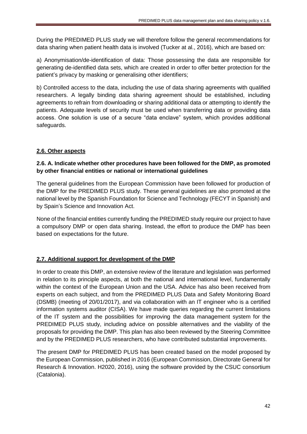During the PREDIMED PLUS study we will therefore follow the general recommendations for data sharing when patient health data is involved (Tucker at al., 2016), which are based on:

a) Anonymisation/de-identification of data: Those possessing the data are responsible for generating de-identified data sets, which are created in order to offer better protection for the patient's privacy by masking or generalising other identifiers;

b) Controlled access to the data, including the use of data sharing agreements with qualified researchers. A legally binding data sharing agreement should be established, including agreements to refrain from downloading or sharing additional data or attempting to identify the patients. Adequate levels of security must be used when transferring data or providing data access. One solution is use of a secure "data enclave" system, which provides additional safeguards.

## **2.6. Other aspects**

## **2.6. A. Indicate whether other procedures have been followed for the DMP, as promoted by other financial entities or national or international guidelines**

The general guidelines from the European Commission have been followed for production of the DMP for the PREDIMED PLUS study. These general guidelines are also promoted at the national level by the Spanish Foundation for Science and Technology (FECYT in Spanish) and by Spain's Science and Innovation Act.

None of the financial entities currently funding the PREDIMED study require our project to have a compulsory DMP or open data sharing. Instead, the effort to produce the DMP has been based on expectations for the future.

## **2.7. Additional support for development of the DMP**

In order to create this DMP, an extensive review of the literature and legislation was performed in relation to its principle aspects, at both the national and international level, fundamentally within the context of the European Union and the USA. Advice has also been received from experts on each subject, and from the PREDIMED PLUS Data and Safety Monitoring Board (DSMB) (meeting of 20/01/2017), and via collaboration with an IT engineer who is a certified information systems auditor (CISA). We have made queries regarding the current limitations of the IT system and the possibilities for improving the data management system for the PREDIMED PLUS study, including advice on possible alternatives and the viability of the proposals for providing the DMP. This plan has also been reviewed by the Steering Committee and by the PREDIMED PLUS researchers, who have contributed substantial improvements.

The present DMP for PREDIMED PLUS has been created based on the model proposed by the European Commission, published in 2016 (European Commission, Directorate General for Research & Innovation. H2020, 2016), using the software provided by the CSUC consortium (Catalonia).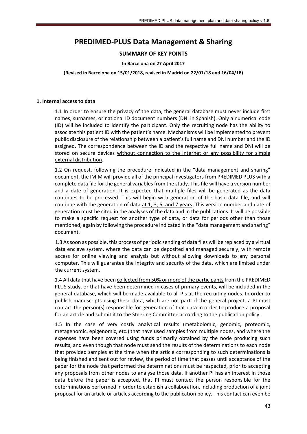## **PREDIMED-PLUS Data Management & Sharing**

#### **SUMMARY OF KEY POINTS**

#### **In Barcelona on 27 April 2017**

#### **(Revised in Barcelona on 15/01/2018, revised in Madrid on 22/01/18 and 16/04/18)**

#### **1. Internal access to data**

1.1 In order to ensure the privacy of the data, the general database must never include first names, surnames, or national ID document numbers (DNI in Spanish). Only a numerical code (ID) will be included to identify the participant. Only the recruiting node has the ability to associate this patient ID with the patient's name. Mechanisms will be implemented to prevent public disclosure of the relationship between a patient's full name and DNI number and the ID assigned. The correspondence between the ID and the respective full name and DNI will be stored on secure devices without connection to the Internet or any possibility for simple external distribution.

1.2 On request, following the procedure indicated in the "data management and sharing" document, the IMIM will provide all of the principal investigators from PREDIMED PLUS with a complete data file for the general variables from the study. This file will have a version number and a date of generation. It is expected that multiple files will be generated as the data continues to be processed. This will begin with generation of the basic data file, and will continue with the generation of data at 1, 3, 5, and 7 years. This version number and date of generation must be cited in the analyses of the data and in the publications. It will be possible to make a specific request for another type of data, or data for periods other than those mentioned, again by following the procedure indicated in the "data management and sharing" document.

1.3 As soon as possible, this process of periodic sending of data files will be replaced by a virtual data enclave system, where the data can be deposited and managed securely, with remote access for online viewing and analysis but without allowing downloads to any personal computer. This will guarantee the integrity and security of the data, which are limited under the current system.

1.4 All data that have been collected from 50% or more of the participants from the PREDIMED PLUS study, or that have been determined in cases of primary events, will be included in the general database, which will be made available to all PIs at the recruiting nodes. In order to publish manuscripts using these data, which are not part of the general project, a PI must contact the person(s) responsible for generation of that data in order to produce a proposal for an article and submit it to the Steering Committee according to the publication policy.

1.5 In the case of very costly analytical results (metabolomic, genomic, proteomic, metagenomic, epigenomic, etc.) that have used samples from multiple nodes, and where the expenses have been covered using funds primarily obtained by the node producing such results, and even though that node must send the results of the determinations to each node that provided samples at the time when the article corresponding to such determinations is being finished and sent out for review, the period of time that passes until acceptance of the paper for the node that performed the determinations must be respected, prior to accepting any proposals from other nodes to analyse those data. If another PI has an interest in those data before the paper is accepted, that PI must contact the person responsible for the determinations performed in order to establish a collaboration, including production of a joint proposal for an article or articles according to the publication policy. This contact can even be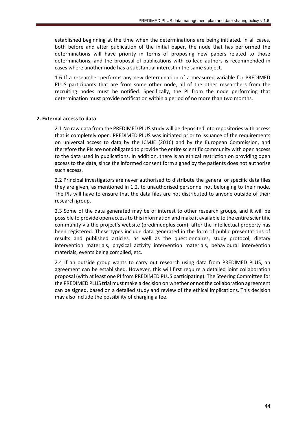established beginning at the time when the determinations are being initiated. In all cases, both before and after publication of the initial paper, the node that has performed the determinations will have priority in terms of proposing new papers related to those determinations, and the proposal of publications with co-lead authors is recommended in cases where another node has a substantial interest in the same subject.

1.6 If a researcher performs any new determination of a measured variable for PREDIMED PLUS participants that are from some other node, all of the other researchers from the recruiting nodes must be notified. Specifically, the PI from the node performing that determination must provide notification within a period of no more than two months.

#### **2. External access to data**

2.1 No raw data from the PREDIMED PLUS study will be deposited into repositories with access that is completely open. PREDIMED PLUS was initiated prior to issuance of the requirements on universal access to data by the ICMJE (2016) and by the European Commission, and therefore the PIs are not obligated to provide the entire scientific community with open access to the data used in publications. In addition, there is an ethical restriction on providing open access to the data, since the informed consent form signed by the patients does not authorise such access.

2.2 Principal investigators are never authorised to distribute the general or specific data files they are given, as mentioned in 1.2, to unauthorised personnel not belonging to their node. The PIs will have to ensure that the data files are not distributed to anyone outside of their research group.

2.3 Some of the data generated may be of interest to other research groups, and it will be possible to provide open access to this information and make it available to the entire scientific community via the project's website (predimedplus.com), after the intellectual property has been registered. These types include data generated in the form of public presentations of results and published articles, as well as the questionnaires, study protocol, dietary intervention materials, physical activity intervention materials, behavioural intervention materials, events being compiled, etc.

2.4 If an outside group wants to carry out research using data from PREDIMED PLUS, an agreement can be established. However, this will first require a detailed joint collaboration proposal (with at least one PI from PREDIMED PLUS participating). The Steering Committee for the PREDIMED PLUS trial must make a decision on whether or not the collaboration agreement can be signed, based on a detailed study and review of the ethical implications. This decision may also include the possibility of charging a fee.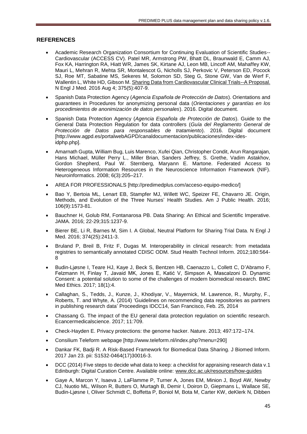#### **REFERENCES**

- Academic Research Organization Consortium for Continuing Evaluation of Scientific Studies-- Cardiovascular (ACCESS CV). Patel MR, Armstrong PW, Bhatt DL, Braunwald E, Camm AJ, Fox KA, Harrington RA, Hiatt WR, James SK, Kirtane AJ, Leon MB, Lincoff AM, Mahaffey KW, Mauri L, Mehran R, Mehta SR, Montalescot G, Nicholls SJ, Perkovic V, Peterson ED, Pocock SJ, Roe MT, Sabatine MS, Sekeres M, Solomon SD, Steg G, Stone GW, Van de Werf F, Wallentin L, White HD, Gibson M. [Sharing Data from Cardiovascular Clinical Trials--A Proposal.](https://www.ncbi.nlm.nih.gov/pubmed/27518659) N Engl J Med. 2016 Aug 4; 375(5):407-9.
- Spanish Data Protection Agency (*Agencia Española de Protección de Datos*). Orientations and guarantees in Procedures for anonymizing personal data (*Orientaciones y garantías en los procedimientos de anonimización de datos personales*). 2016. Digital document.
- Spanish Data Protection Agency (*Agencia Española de Protección de Datos*). Guide to the General Data Protection Regulation for data controllers (*Guía del Reglamento General de Protección de Datos para responsables de tratamiento*). 2016. Digital document [http://www.agpd.es/portalwebAGPD/canaldocumentacion/publicaciones/index-idesidphp.php].
- Amarnath Gupta, William Bug, Luis Marenco, Xufei Qian, Christopher Condit, Arun Rangarajan, Hans Michael, Müller Perry L., Miller Brian, Sanders Jeffrey, S. Grethe, Vadim Astakhov, Gordon Shepherd, Paul W. Sternberg, Maryann E. Martone. Federated Access to Heterogeneous Information Resources in the Neuroscience Information Framework (NIF). Neuroinformatics. 2008; 6(3):205–217.
- AREA FOR PROFESSIONALS [http://predimedplus.com/acceso-equipo-medico/]
- Bao Y, Bertoia ML, Lenart EB, Stampfer MJ, Willett WC, Speizer FE, Chavarro JE. Origin, Methods, and Evolution of the Three Nurses' Health Studies. Am J Public Health. 2016; 106(9):1573-81.
- Bauchner H, Golub RM, Fontanarosa PB. Data Sharing: An Ethical and Scientific Imperative. JAMA. 2016; 22-29;315:1237-9.
- Bierer BE, Li R, Barnes M, Sim I. A Global, Neutral Platform for Sharing Trial Data. N Engl J Med. 2016; 374(25):2411-3.
- Bruland P, Breil B, Fritz F, Dugas M. Interoperability in clinical research: from metadata registries to semantically annotated CDISC ODM. Stud Health Technol Inform. 2012;180:564- 8
- Budin-Ljøsne I, Teare HJ, Kaye J, Beck S, Bentzen HB, Caenazzo L, Collett C, D'Abramo F, Felzmann H, Finlay T, Javaid MK, Jones E, Katić V, Simpson A, Mascalzoni D. Dynamic Consent: a potential solution to some of the challenges of modern biomedical research. BMC Med Ethics. 2017; 18(1):4.
- Callaghan, S., Tedds, J., Kunze, J., Khodiyar, V., Mayernick, M. Lawrence, R., Murphy, F., Roberts, T. and Whyte, A. (2014) 'Guidelines on recommending data repositories as partners in publishing research data' Proceedings IDCC14, San Francisco, Feb. 25, 2014
- Chassang G. The impact of the EU general data protection regulation on scientific research. Ecancermedicalscience. 2017; 11:709.
- Check-Hayden E. Privacy protections: the genome hacker. Nature. 2013; 497:172–174.
- Consilium Teleform webpage [http://www.teleform.nl/index.php?menu=290]
- Dankar FK, Badji R. A Risk-Based Framework for Biomedical Data Sharing. J Biomed Inform. 2017 Jan 23. pii: S1532-0464(17)30016-3.
- DCC (2014) Five steps to decide what data to keep: a checklist for appraising research data v.1 Edinburgh: Digital Curation Centre. Available online: [www.dcc.ac.uk/resources/how-guides](http://www.dcc.ac.uk/resources/how-guides)
- Gaye A, Marcon Y, Isaeva J, LaFlamme P, Turner A, Jones EM, Minion J, Boyd AW, Newby CJ, Nuotio ML, Wilson R, Butters O, Murtagh B, Demir I, Doiron D, Giepmans L, Wallace SE, Budin-Ljøsne I, Oliver Schmidt C, Boffetta P, Boniol M, Bota M, Carter KW, deKlerk N, Dibben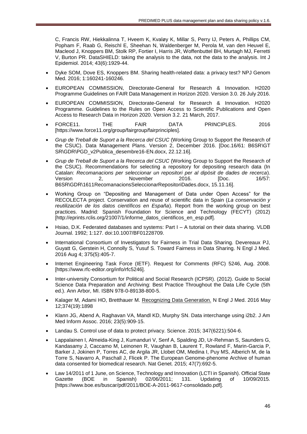C, Francis RW, Hiekkalinna T, Hveem K, Kvaløy K, Millar S, Perry IJ, Peters A, Phillips CM, Popham F, Raab G, Reischl E, Sheehan N, Waldenberger M, Perola M, van den Heuvel E, Macleod J, Knoppers BM, Stolk RP, Fortier I, Harris JR, Woffenbuttel BH, Murtagh MJ, Ferretti V, Burton PR. DataSHIELD: taking the analysis to the data, not the data to the analysis. Int J Epidemiol. 2014; 43(6):1929-44.

- Dyke SOM, Dove ES, Knoppers BM. Sharing health-related data: a privacy test? NPJ Genom Med. 2016; 1:160241-160246.
- EUROPEAN COMMISSION, Directorate-General for Research & Innovation. H2020 Programme Guidelines on FAIR Data Management in Horizon 2020. Version 3.0. 26 July 2016.
- EUROPEAN COMMISSION, Directorate-General for Research & Innovation. H2020 Programme. Guidelines to the Rules on Open Access to Scientific Publications and Open Access to Research Data in Horizon 2020. Version 3.2. 21 March, 2017.
- FORCE11. THE FAIR DATA PRINCIPLES. 2016 [https://www.force11.org/group/fairgroup/fairprinciples].
- *Grup de Treball de Suport a la Recerca del CSUC* (Working Group to Support the Research of the CSUC). Data Management Plans. Version 2, December 2016. [Doc.16/61: B6SR\GT SR\GDR\PGD\_v2Publica\_desembre16-EN.docx, 22.12.16].
- *Grup de Treball de Suport a la Recerca del CSUC* (Working Group to Support the Research of the CSUC). Recommendations for selecting a repository for depositing research data (In Catalan: *Recomanacions per seleccionar un repositori per al dipòsit de dades de recerca*). Version 2, November 2016. [Doc. 16/57: B6SR\GDR\1611RecomanacionsSeleccionarRepositoriDades.docx, 15.11.16].
- Working Group on "Depositing and Management of Data under Open Access" for the RECOLECTA project. Conservation and reuse of scientific data in Spain (*La conservación y reutilización de los datos científicos en España*). Report from the working group on best practices. Madrid: Spanish Foundation for Science and Technology (FECYT) (2012) [http://eprints.rclis.org/21007/1/informe\_datos\_cientificos\_en\_esp.pdf].
- Hsiao, D.K. Federated databases and systems: Part I A tutorial on their data sharing. VLDB Journal. 1992; 1:127. doi:10.1007/BF01228709.
- International Consortium of Investigators for Fairness in Trial Data Sharing. Devereaux PJ, Guyatt G, Gerstein H, Connolly S, Yusuf S. Toward Fairness in Data Sharing. N Engl J Med. 2016 Aug 4; 375(5):405-7.
- Internet Engineering Task Force (IETF). Request for Comments (RFC) 5246, Aug. 2008. [https://www.rfc-editor.org/info/rfc5246].
- Inter-university Consortium for Political and Social Research (ICPSR). (2012). Guide to Social Science Data Preparation and Archiving: Best Practice Throughout the Data Life Cycle (5th ed.). Ann Arbor, MI. ISBN 978-0-89138-800-5.
- Kalager M, Adami HO, Bretthauer M. [Recognizing Data Generation.](https://www.ncbi.nlm.nih.gov/pubmed/27096437) N Engl J Med. 2016 May 12;374(19):1898
- Klann JG, Abend A, Raghavan VA, Mandl KD, Murphy SN. Data interchange using i2b2. J Am Med Inform Assoc. 2016; 23(5):909-15.
- Landau S. Control use of data to protect privacy. Science. 2015; 347(6221):504-6.
- Lappalainen I, Almeida-King J, Kumanduri V, Senf A, Spalding JD, Ur-Rehman S, Saunders G, Kandasamy J, Caccamo M, Leinonen R, Vaughan B, Laurent T, Rowland F, Marin-Garcia P, Barker J, Jokinen P, Torres AC, de Argila JR, Llobet OM, Medina I, Puy MS, Alberich M, de la Torre S, Navarro A, Paschall J, Flicek P. The European Genome-phenome Archive of human data consented for biomedical research. Nat Genet. 2015; 47(7):692-5.
- Law 14/2011 of 1 June, on Science, Technology and Innovation (LCTI in Spanish). Official State Gazette (BOE in Spanish) 02/06/2011; 131. Updating of 10/09/2015. [https://www.boe.es/buscar/pdf/2011/BOE-A-2011-9617-consolidado.pdf].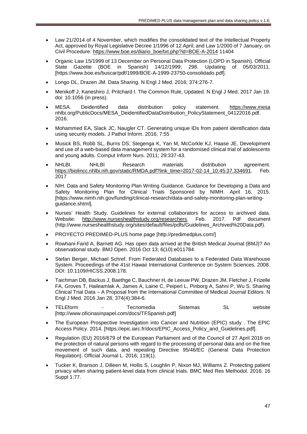- Law 21/2014 of 4 November, which modifies the consolidated text of the Intellectual Property Act, approved by Royal Legislative Decree 1/1996 of 12 April; and Law 1/2000 of 7 January, on Civil Procedure: [https://www.boe.es/diario\\_boe/txt.php?id=BOE-A-2014](https://www.boe.es/diario_boe/txt.php?id=BOE-A-2014) 11404
- Organic Law 15/1999 of 13 December on Personal Data Protection (LOPD in Spanish). Official State Gazette (BOE in Spanish) 14/12/1999; 298. Updating of 05/03/2011. [https://www.boe.es/buscar/pdf/1999/BOE-A-1999-23750-consolidado.pdf].
- Longo DL, Drazen JM. Data Sharing. N Engl J Med. 2016; 374:276-7.
- Menikoff J, Kaneshiro J, Pritchard I. The Common Rule, Updated. N Engl J Med. 2017 Jan 19. doi: 10.1056 (in press).
- MESA. Deidentified data distribution policy statement. [https://www.mesa](https://www.mesa/) nhlbi.org/PublicDocs/MESA\_DeidentifiedDataDistribution\_PolicyStatement\_04122016.pdf. 2016.
- Mohammed EA, Slack JC, Naugler CT. Generating unique IDs from patient identification data using security models. J Pathol Inform. 2016; 7:55
- Musick BS, Robb SL, Burns DS, Stegenga K, Yan M, McCorkle KJ, Haase JE. Development and use of a web-based data management system for a randomised clinical trial of adolescents and young adults. Comput Inform Nurs. 2011; 29:337-43.
- NHLBI. NHLBI Research materials distribution agreement. [https://biolincc.nhlbi.nih.gov/static/RMDA.pdf?link\\_time=2017-02-14\\_10:45:37.334691.](https://biolincc.nhlbi.nih.gov/static/RMDA.pdf?link_time=2017-02-14_10:45:37.334691) Feb. 2017
- NIH. Data and Safety Monitoring Plan Writing Guidance. Guidance for Developing a Data and Safety Monitoring Plan for Clinical Trials Sponsored by NIMH. April 16, 2015. [https://www.nimh.nih.gov/funding/clinical-research/data-and-safety-monitoring-plan-writingguidance.shtml].
- Nurses' Health Study. Guidelines for external collaborators for access to archived data. Website: [http://www.nurseshealthstudy.org/researchers.](http://www.nurseshealthstudy.org/researchers) Feb. 2017. Pdf document (http://www.nurseshealthstudy.org/sites/default/files/pdfs/Guidelines\_Archived%20Data.pdf).
- PROYECTO PREDIMED-PLUS home page [http://predimedplus.com/]
- Rowhani-Farid A, Barnett AG. Has open data arrived at the British Medical Journal (BMJ)? An observational study. BMJ Open. 2016 Oct 13; 6(10):e011784
- Stefan Berger, Michael Schref. From Federated Databases to a Federated Data Warehouse System. Proceedings of the 41st Hawaii International Conference on System Sciences. 2008. DOI: 10.1109/HICSS.2008.178.
- Taichman DB, Backus J, Baethge C, Bauchner H, de Leeuw PW, Drazen JM, Fletcher J, Frizelle FA, Groves T, Haileamlak A, James A, Laine C, Peiperl L, Pinborg A, Sahni P, Wu S. Sharing Clinical Trial Data – A Proposal from the International Committee of Medical Journal Editors. N Engl J Med. 2016 Jan 28; 374(4):384-6.
- TELEform Tecnomedia Sistemas SL website [http://www.oficinasinpapel.com/docs/TFSpanish.pdf]
- The European Prospective Investigation into Cancer and Nutrition (EPIC) study . The EPIC Access Policy. 2014. [https://epic.iarc.fr/docs/EPIC\_Access\_Policy\_and\_Guidelines.pdf].
- Regulation (EU) 2016/679 of the European Parliament and of the Council of 27 April 2016 on the protection of natural persons with regard to the processing of personal data and on the free movement of such data, and repealing Directive 95/46/EC (General Data Protection Regulation). Official Journal L. 2016; 119(1).
- Tucker K, Branson J, Dilleen M, Hollis S, Loughlin P, Nixon MJ, Williams Z. Protecting patient privacy when sharing patient-level data from clinical trials. BMC Med Res Methodol. 2016; 16 Suppl 1:77.